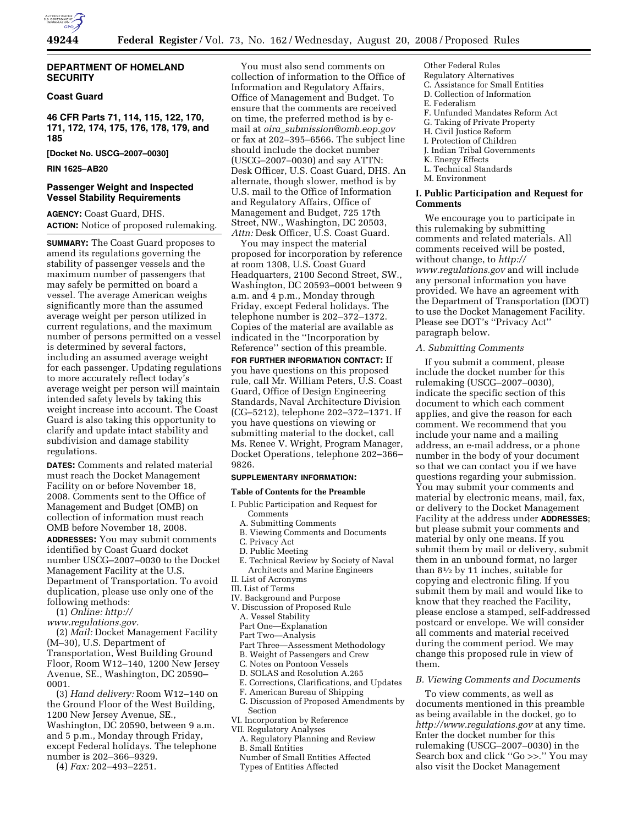

# **DEPARTMENT OF HOMELAND SECURITY**

# **Coast Guard**

**46 CFR Parts 71, 114, 115, 122, 170, 171, 172, 174, 175, 176, 178, 179, and 185** 

**[Docket No. USCG–2007–0030]** 

**RIN 1625–AB20** 

# **Passenger Weight and Inspected Vessel Stability Requirements**

**AGENCY:** Coast Guard, DHS. **ACTION:** Notice of proposed rulemaking.

**SUMMARY:** The Coast Guard proposes to amend its regulations governing the stability of passenger vessels and the maximum number of passengers that may safely be permitted on board a vessel. The average American weighs significantly more than the assumed average weight per person utilized in current regulations, and the maximum number of persons permitted on a vessel is determined by several factors, including an assumed average weight for each passenger. Updating regulations to more accurately reflect today's average weight per person will maintain intended safety levels by taking this weight increase into account. The Coast Guard is also taking this opportunity to clarify and update intact stability and subdivision and damage stability regulations.

**DATES:** Comments and related material must reach the Docket Management Facility on or before November 18, 2008. Comments sent to the Office of Management and Budget (OMB) on collection of information must reach OMB before November 18, 2008.

**ADDRESSES:** You may submit comments identified by Coast Guard docket number USCG–2007–0030 to the Docket Management Facility at the U.S. Department of Transportation. To avoid duplication, please use only one of the following methods:

(1) *Online: http://* 

*www.regulations.gov.* 

(2) *Mail:* Docket Management Facility (M–30), U.S. Department of Transportation, West Building Ground Floor, Room W12–140, 1200 New Jersey Avenue, SE., Washington, DC 20590– 0001.

(3) *Hand delivery:* Room W12–140 on the Ground Floor of the West Building, 1200 New Jersey Avenue, SE., Washington, DC 20590, between 9 a.m. and 5 p.m., Monday through Friday, except Federal holidays. The telephone number is 202–366–9329.

(4) *Fax:* 202–493–2251.

You must also send comments on collection of information to the Office of Information and Regulatory Affairs, Office of Management and Budget. To ensure that the comments are received on time, the preferred method is by email at *oira*\_*submission@omb.eop.gov*  or fax at 202–395–6566. The subject line should include the docket number (USCG–2007–0030) and say ATTN: Desk Officer, U.S. Coast Guard, DHS. An alternate, though slower, method is by U.S. mail to the Office of Information and Regulatory Affairs, Office of Management and Budget, 725 17th Street, NW., Washington, DC 20503, *Attn:* Desk Officer, U.S. Coast Guard.

You may inspect the material proposed for incorporation by reference at room 1308, U.S. Coast Guard Headquarters, 2100 Second Street, SW., Washington, DC 20593–0001 between 9 a.m. and 4 p.m., Monday through Friday, except Federal holidays. The telephone number is 202–372–1372. Copies of the material are available as indicated in the ''Incorporation by Reference'' section of this preamble.

**FOR FURTHER INFORMATION CONTACT:** If you have questions on this proposed rule, call Mr. William Peters, U.S. Coast Guard, Office of Design Engineering Standards, Naval Architecture Division (CG–5212), telephone 202–372–1371. If you have questions on viewing or submitting material to the docket, call Ms. Renee V. Wright, Program Manager, Docket Operations, telephone 202–366– 9826.

#### **SUPPLEMENTARY INFORMATION:**

### **Table of Contents for the Preamble**

- I. Public Participation and Request for **Comments** 
	- A. Submitting Comments
	- B. Viewing Comments and Documents
	- C. Privacy Act
	- D. Public Meeting
- E. Technical Review by Society of Naval Architects and Marine Engineers
- II. List of Acronyms
- III. List of Terms
- IV. Background and Purpose
- V. Discussion of Proposed Rule
	- A. Vessel Stability
	- Part One—Explanation
- Part Two—Analysis
- Part Three—Assessment Methodology
- B. Weight of Passengers and Crew
- C. Notes on Pontoon Vessels
- D. SOLAS and Resolution A.265
- E. Corrections, Clarifications, and Updates
- F. American Bureau of Shipping
- G. Discussion of Proposed Amendments by Section
- VI. Incorporation by Reference VII. Regulatory Analyses
- 
- A. Regulatory Planning and Review B. Small Entities
- Number of Small Entities Affected
- 
- Types of Entities Affected

Other Federal Rules

- Regulatory Alternatives
- C. Assistance for Small Entities D. Collection of Information
- E. Federalism
- F. Unfunded Mandates Reform Act
- G. Taking of Private Property
- H. Civil Justice Reform
- I. Protection of Children
- J. Indian Tribal Governments
- K. Energy Effects
- L. Technical Standards
- M. Environment

# **I. Public Participation and Request for Comments**

We encourage you to participate in this rulemaking by submitting comments and related materials. All comments received will be posted, without change, to *http:// www.regulations.gov* and will include any personal information you have provided. We have an agreement with the Department of Transportation (DOT) to use the Docket Management Facility. Please see DOT's ''Privacy Act'' paragraph below.

### *A. Submitting Comments*

If you submit a comment, please include the docket number for this rulemaking (USCG–2007–0030), indicate the specific section of this document to which each comment applies, and give the reason for each comment. We recommend that you include your name and a mailing address, an e-mail address, or a phone number in the body of your document so that we can contact you if we have questions regarding your submission. You may submit your comments and material by electronic means, mail, fax, or delivery to the Docket Management Facility at the address under **ADDRESSES**; but please submit your comments and material by only one means. If you submit them by mail or delivery, submit them in an unbound format, no larger than 81⁄2 by 11 inches, suitable for copying and electronic filing. If you submit them by mail and would like to know that they reached the Facility, please enclose a stamped, self-addressed postcard or envelope. We will consider all comments and material received during the comment period. We may change this proposed rule in view of them.

# *B. Viewing Comments and Documents*

To view comments, as well as documents mentioned in this preamble as being available in the docket, go to *http://www.regulations.gov* at any time. Enter the docket number for this rulemaking (USCG–2007–0030) in the Search box and click ''Go >>.'' You may also visit the Docket Management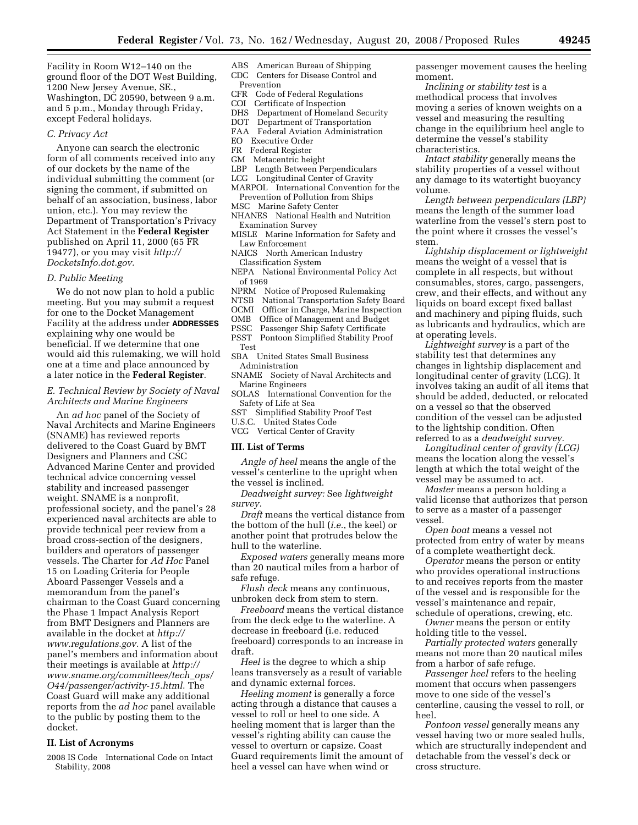Facility in Room W12–140 on the ground floor of the DOT West Building, 1200 New Jersey Avenue, SE., Washington, DC 20590, between 9 a.m. and 5 p.m., Monday through Friday, except Federal holidays.

### *C. Privacy Act*

Anyone can search the electronic form of all comments received into any of our dockets by the name of the individual submitting the comment (or signing the comment, if submitted on behalf of an association, business, labor union, etc.). You may review the Department of Transportation's Privacy Act Statement in the **Federal Register**  published on April 11, 2000 (65 FR 19477), or you may visit *http:// DocketsInfo.dot.gov.* 

### *D. Public Meeting*

We do not now plan to hold a public meeting. But you may submit a request for one to the Docket Management Facility at the address under **ADDRESSES** explaining why one would be beneficial. If we determine that one would aid this rulemaking, we will hold one at a time and place announced by a later notice in the **Federal Register**.

# *E. Technical Review by Society of Naval Architects and Marine Engineers*

An *ad hoc* panel of the Society of Naval Architects and Marine Engineers (SNAME) has reviewed reports delivered to the Coast Guard by BMT Designers and Planners and CSC Advanced Marine Center and provided technical advice concerning vessel stability and increased passenger weight. SNAME is a nonprofit, professional society, and the panel's 28 experienced naval architects are able to provide technical peer review from a broad cross-section of the designers, builders and operators of passenger vessels. The Charter for *Ad Hoc* Panel 15 on Loading Criteria for People Aboard Passenger Vessels and a memorandum from the panel's chairman to the Coast Guard concerning the Phase 1 Impact Analysis Report from BMT Designers and Planners are available in the docket at *http:// www.regulations.gov.* A list of the panel's members and information about their meetings is available at *http:// www.sname.org/committees/tech*\_*ops/ O44/passenger/activity-15.html*. The Coast Guard will make any additional reports from the *ad hoc* panel available to the public by posting them to the docket.

# **II. List of Acronyms**

2008 IS Code International Code on Intact Stability, 2008

#### ABS American Bureau of Shipping CDC Centers for Disease Control and Prevention

- CFR Code of Federal Regulations
- COI Certificate of Inspection
- DHS Department of Homeland Security
- DOT Department of Transportation
- FAA Federal Aviation Administration
- EO Executive Order
- FR Federal Register
- GM Metacentric height
- LBP Length Between Perpendiculars
- LCG Longitudinal Center of Gravity
- MARPOL International Convention for the Prevention of Pollution from Ships
- MSC Marine Safety Center
- NHANES National Health and Nutrition Examination Survey
- MISLE Marine Information for Safety and Law Enforcement
- NAICS North American Industry Classification System
- NEPA National Environmental Policy Act of 1969
- NPRM Notice of Proposed Rulemaking
- NTSB National Transportation Safety Board
- 
- OCMI Officer in Charge, Marine Inspection<br>OMB Office of Management and Budget Office of Management and Budget
- 
- PSSC Passenger Ship Safety Certificate<br>PSST Pontoon Simplified Stability Proo Pontoon Simplified Stability Proof
- Test
- SBA United States Small Business Administration
- SNAME Society of Naval Architects and Marine Engineers
- SOLAS International Convention for the Safety of Life at Sea
- SST Simplified Stability Proof Test
- U.S.C. United States Code
- VCG Vertical Center of Gravity

### **III. List of Terms**

*Angle of heel* means the angle of the vessel's centerline to the upright when the vessel is inclined.

*Deadweight survey:* See *lightweight survey.* 

*Draft* means the vertical distance from the bottom of the hull (*i.e.*, the keel) or another point that protrudes below the hull to the waterline.

*Exposed waters* generally means more than 20 nautical miles from a harbor of safe refuge.

*Flush deck* means any continuous, unbroken deck from stem to stern.

*Freeboard* means the vertical distance from the deck edge to the waterline. A decrease in freeboard (i.e. reduced freeboard) corresponds to an increase in draft.

*Heel* is the degree to which a ship leans transversely as a result of variable and dynamic external forces.

*Heeling moment* is generally a force acting through a distance that causes a vessel to roll or heel to one side. A heeling moment that is larger than the vessel's righting ability can cause the vessel to overturn or capsize. Coast Guard requirements limit the amount of heel a vessel can have when wind or

passenger movement causes the heeling moment.

*Inclining or stability test* is a methodical process that involves moving a series of known weights on a vessel and measuring the resulting change in the equilibrium heel angle to determine the vessel's stability characteristics.

*Intact stability* generally means the stability properties of a vessel without any damage to its watertight buoyancy volume.

*Length between perpendiculars (LBP)*  means the length of the summer load waterline from the vessel's stern post to the point where it crosses the vessel's stem.

*Lightship displacement or lightweight*  means the weight of a vessel that is complete in all respects, but without consumables, stores, cargo, passengers, crew, and their effects, and without any liquids on board except fixed ballast and machinery and piping fluids, such as lubricants and hydraulics, which are at operating levels.

*Lightweight survey* is a part of the stability test that determines any changes in lightship displacement and longitudinal center of gravity (LCG). It involves taking an audit of all items that should be added, deducted, or relocated on a vessel so that the observed condition of the vessel can be adjusted to the lightship condition. Often referred to as a *deadweight survey.* 

*Longitudinal center of gravity (LCG)*  means the location along the vessel's length at which the total weight of the vessel may be assumed to act.

*Master* means a person holding a valid license that authorizes that person to serve as a master of a passenger vessel.

*Open boat* means a vessel not protected from entry of water by means of a complete weathertight deck.

*Operator* means the person or entity who provides operational instructions to and receives reports from the master of the vessel and is responsible for the vessel's maintenance and repair, schedule of operations, crewing, etc.

*Owner* means the person or entity holding title to the vessel.

*Partially protected waters* generally means not more than 20 nautical miles from a harbor of safe refuge.

*Passenger heel* refers to the heeling moment that occurs when passengers move to one side of the vessel's centerline, causing the vessel to roll, or heel.

*Pontoon vessel* generally means any vessel having two or more sealed hulls, which are structurally independent and detachable from the vessel's deck or cross structure.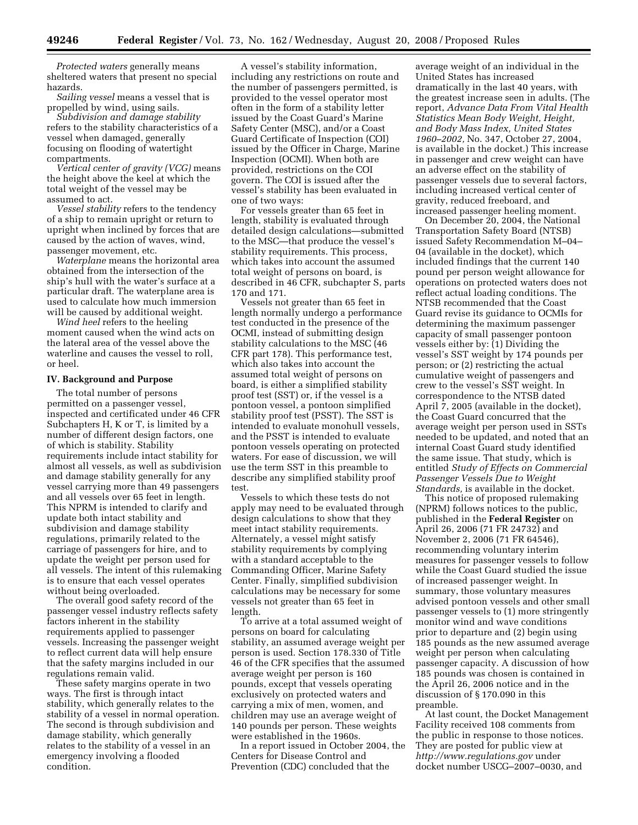*Protected waters* generally means sheltered waters that present no special hazards.

*Sailing vessel* means a vessel that is propelled by wind, using sails.

*Subdivision and damage stability*  refers to the stability characteristics of a vessel when damaged, generally focusing on flooding of watertight compartments.

*Vertical center of gravity (VCG)* means the height above the keel at which the total weight of the vessel may be assumed to act.

*Vessel stability* refers to the tendency of a ship to remain upright or return to upright when inclined by forces that are caused by the action of waves, wind, passenger movement, etc.

*Waterplane* means the horizontal area obtained from the intersection of the ship's hull with the water's surface at a particular draft. The waterplane area is used to calculate how much immersion will be caused by additional weight.

*Wind heel* refers to the heeling moment caused when the wind acts on the lateral area of the vessel above the waterline and causes the vessel to roll, or heel.

# **IV. Background and Purpose**

The total number of persons permitted on a passenger vessel, inspected and certificated under 46 CFR Subchapters H, K or T, is limited by a number of different design factors, one of which is stability. Stability requirements include intact stability for almost all vessels, as well as subdivision and damage stability generally for any vessel carrying more than 49 passengers and all vessels over 65 feet in length. This NPRM is intended to clarify and update both intact stability and subdivision and damage stability regulations, primarily related to the carriage of passengers for hire, and to update the weight per person used for all vessels. The intent of this rulemaking is to ensure that each vessel operates without being overloaded.

The overall good safety record of the passenger vessel industry reflects safety factors inherent in the stability requirements applied to passenger vessels. Increasing the passenger weight to reflect current data will help ensure that the safety margins included in our regulations remain valid.

These safety margins operate in two ways. The first is through intact stability, which generally relates to the stability of a vessel in normal operation. The second is through subdivision and damage stability, which generally relates to the stability of a vessel in an emergency involving a flooded condition.

A vessel's stability information, including any restrictions on route and the number of passengers permitted, is provided to the vessel operator most often in the form of a stability letter issued by the Coast Guard's Marine Safety Center (MSC), and/or a Coast Guard Certificate of Inspection (COI) issued by the Officer in Charge, Marine Inspection (OCMI). When both are provided, restrictions on the COI govern. The COI is issued after the vessel's stability has been evaluated in one of two ways:

For vessels greater than 65 feet in length, stability is evaluated through detailed design calculations—submitted to the MSC—that produce the vessel's stability requirements. This process, which takes into account the assumed total weight of persons on board, is described in 46 CFR, subchapter S, parts 170 and 171.

Vessels not greater than 65 feet in length normally undergo a performance test conducted in the presence of the OCMI, instead of submitting design stability calculations to the MSC (46 CFR part 178). This performance test, which also takes into account the assumed total weight of persons on board, is either a simplified stability proof test (SST) or, if the vessel is a pontoon vessel, a pontoon simplified stability proof test (PSST). The SST is intended to evaluate monohull vessels, and the PSST is intended to evaluate pontoon vessels operating on protected waters. For ease of discussion, we will use the term SST in this preamble to describe any simplified stability proof test.

Vessels to which these tests do not apply may need to be evaluated through design calculations to show that they meet intact stability requirements. Alternately, a vessel might satisfy stability requirements by complying with a standard acceptable to the Commanding Officer, Marine Safety Center. Finally, simplified subdivision calculations may be necessary for some vessels not greater than 65 feet in length.

To arrive at a total assumed weight of persons on board for calculating stability, an assumed average weight per person is used. Section 178.330 of Title 46 of the CFR specifies that the assumed average weight per person is 160 pounds, except that vessels operating exclusively on protected waters and carrying a mix of men, women, and children may use an average weight of 140 pounds per person. These weights were established in the 1960s.

In a report issued in October 2004, the Centers for Disease Control and Prevention (CDC) concluded that the

average weight of an individual in the United States has increased dramatically in the last 40 years, with the greatest increase seen in adults. (The report, *Advance Data From Vital Health Statistics Mean Body Weight, Height, and Body Mass Index, United States 1960–2002,* No. 347, October 27, 2004, is available in the docket.) This increase in passenger and crew weight can have an adverse effect on the stability of passenger vessels due to several factors, including increased vertical center of gravity, reduced freeboard, and increased passenger heeling moment.

On December 20, 2004, the National Transportation Safety Board (NTSB) issued Safety Recommendation M–04– 04 (available in the docket), which included findings that the current 140 pound per person weight allowance for operations on protected waters does not reflect actual loading conditions. The NTSB recommended that the Coast Guard revise its guidance to OCMIs for determining the maximum passenger capacity of small passenger pontoon vessels either by: (1) Dividing the vessel's SST weight by 174 pounds per person; or (2) restricting the actual cumulative weight of passengers and crew to the vessel's SST weight. In correspondence to the NTSB dated April 7, 2005 (available in the docket), the Coast Guard concurred that the average weight per person used in SSTs needed to be updated, and noted that an internal Coast Guard study identified the same issue. That study, which is entitled *Study of Effects on Commercial Passenger Vessels Due to Weight Standards,* is available in the docket.

This notice of proposed rulemaking (NPRM) follows notices to the public, published in the **Federal Register** on April 26, 2006 (71 FR 24732) and November 2, 2006 (71 FR 64546), recommending voluntary interim measures for passenger vessels to follow while the Coast Guard studied the issue of increased passenger weight. In summary, those voluntary measures advised pontoon vessels and other small passenger vessels to (1) more stringently monitor wind and wave conditions prior to departure and (2) begin using 185 pounds as the new assumed average weight per person when calculating passenger capacity. A discussion of how 185 pounds was chosen is contained in the April 26, 2006 notice and in the discussion of § 170.090 in this preamble.

At last count, the Docket Management Facility received 108 comments from the public in response to those notices. They are posted for public view at *http://www.regulations.gov* under docket number USCG–2007–0030, and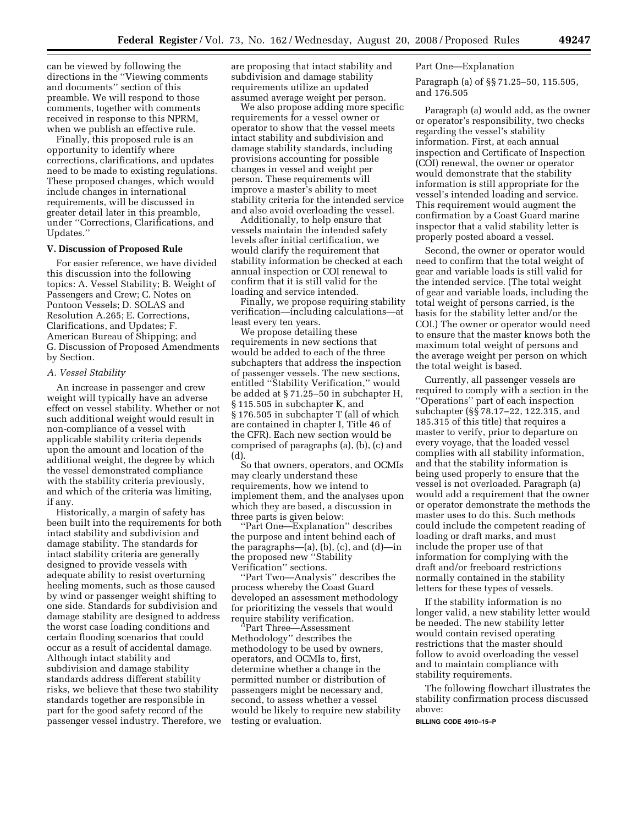can be viewed by following the directions in the ''Viewing comments and documents'' section of this preamble. We will respond to those comments, together with comments received in response to this NPRM, when we publish an effective rule.

Finally, this proposed rule is an opportunity to identify where corrections, clarifications, and updates need to be made to existing regulations. These proposed changes, which would include changes in international requirements, will be discussed in greater detail later in this preamble, under ''Corrections, Clarifications, and Updates.''

#### **V. Discussion of Proposed Rule**

For easier reference, we have divided this discussion into the following topics: A. Vessel Stability; B. Weight of Passengers and Crew; C. Notes on Pontoon Vessels; D. SOLAS and Resolution A.265; E. Corrections, Clarifications, and Updates; F. American Bureau of Shipping; and G. Discussion of Proposed Amendments by Section.

### *A. Vessel Stability*

An increase in passenger and crew weight will typically have an adverse effect on vessel stability. Whether or not such additional weight would result in non-compliance of a vessel with applicable stability criteria depends upon the amount and location of the additional weight, the degree by which the vessel demonstrated compliance with the stability criteria previously, and which of the criteria was limiting, if any.

Historically, a margin of safety has been built into the requirements for both intact stability and subdivision and damage stability. The standards for intact stability criteria are generally designed to provide vessels with adequate ability to resist overturning heeling moments, such as those caused by wind or passenger weight shifting to one side. Standards for subdivision and damage stability are designed to address the worst case loading conditions and certain flooding scenarios that could occur as a result of accidental damage. Although intact stability and subdivision and damage stability standards address different stability risks, we believe that these two stability standards together are responsible in part for the good safety record of the passenger vessel industry. Therefore, we

are proposing that intact stability and subdivision and damage stability requirements utilize an updated assumed average weight per person.

We also propose adding more specific requirements for a vessel owner or operator to show that the vessel meets intact stability and subdivision and damage stability standards, including provisions accounting for possible changes in vessel and weight per person. These requirements will improve a master's ability to meet stability criteria for the intended service and also avoid overloading the vessel.

Additionally, to help ensure that vessels maintain the intended safety levels after initial certification, we would clarify the requirement that stability information be checked at each annual inspection or COI renewal to confirm that it is still valid for the loading and service intended.

Finally, we propose requiring stability verification—including calculations—at least every ten years.

We propose detailing these requirements in new sections that would be added to each of the three subchapters that address the inspection of passenger vessels. The new sections, entitled ''Stability Verification,'' would be added at § 71.25–50 in subchapter H, § 115.505 in subchapter K, and § 176.505 in subchapter T (all of which are contained in chapter I, Title 46 of the CFR). Each new section would be comprised of paragraphs (a), (b), (c) and  $(d)$ 

So that owners, operators, and OCMIs may clearly understand these requirements, how we intend to implement them, and the analyses upon which they are based, a discussion in three parts is given below:

''Part One—Explanation'' describes the purpose and intent behind each of the paragraphs— $(a)$ ,  $(b)$ ,  $(c)$ , and  $(d)$ —in the proposed new ''Stability Verification'' sections.

'Part Two—Analysis'' describes the process whereby the Coast Guard developed an assessment methodology for prioritizing the vessels that would require stability verification.

''Part Three—Assessment Methodology'' describes the methodology to be used by owners, operators, and OCMIs to, first, determine whether a change in the permitted number or distribution of passengers might be necessary and, second, to assess whether a vessel would be likely to require new stability testing or evaluation.

Part One—Explanation

Paragraph (a) of §§ 71.25–50, 115.505, and 176.505

Paragraph (a) would add, as the owner or operator's responsibility, two checks regarding the vessel's stability information. First, at each annual inspection and Certificate of Inspection (COI) renewal, the owner or operator would demonstrate that the stability information is still appropriate for the vessel's intended loading and service. This requirement would augment the confirmation by a Coast Guard marine inspector that a valid stability letter is properly posted aboard a vessel.

Second, the owner or operator would need to confirm that the total weight of gear and variable loads is still valid for the intended service. (The total weight of gear and variable loads, including the total weight of persons carried, is the basis for the stability letter and/or the COI.) The owner or operator would need to ensure that the master knows both the maximum total weight of persons and the average weight per person on which the total weight is based.

Currently, all passenger vessels are required to comply with a section in the ''Operations'' part of each inspection subchapter (§§ 78.17–22, 122.315, and 185.315 of this title) that requires a master to verify, prior to departure on every voyage, that the loaded vessel complies with all stability information, and that the stability information is being used properly to ensure that the vessel is not overloaded. Paragraph (a) would add a requirement that the owner or operator demonstrate the methods the master uses to do this. Such methods could include the competent reading of loading or draft marks, and must include the proper use of that information for complying with the draft and/or freeboard restrictions normally contained in the stability letters for these types of vessels.

If the stability information is no longer valid, a new stability letter would be needed. The new stability letter would contain revised operating restrictions that the master should follow to avoid overloading the vessel and to maintain compliance with stability requirements.

The following flowchart illustrates the stability confirmation process discussed above:

**BILLING CODE 4910–15–P**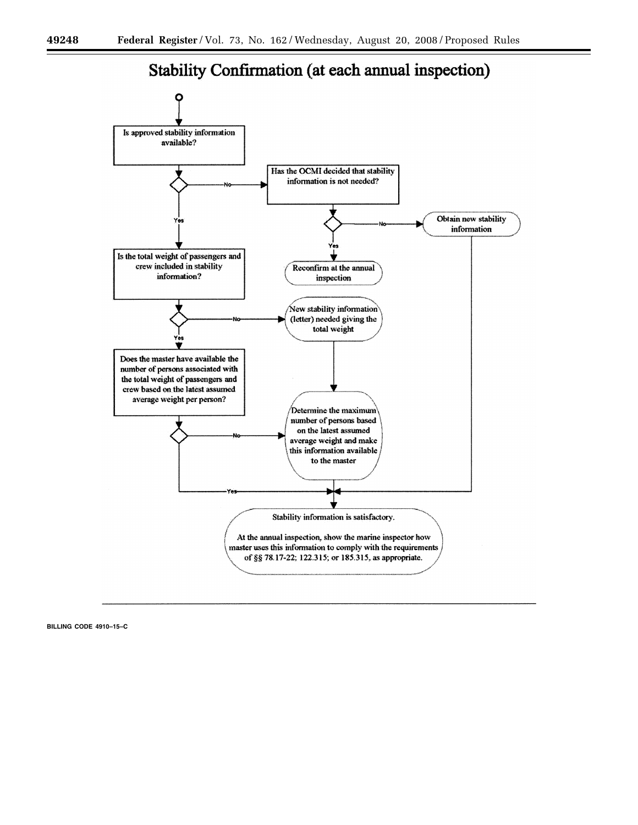



**BILLING CODE 4910–15–C**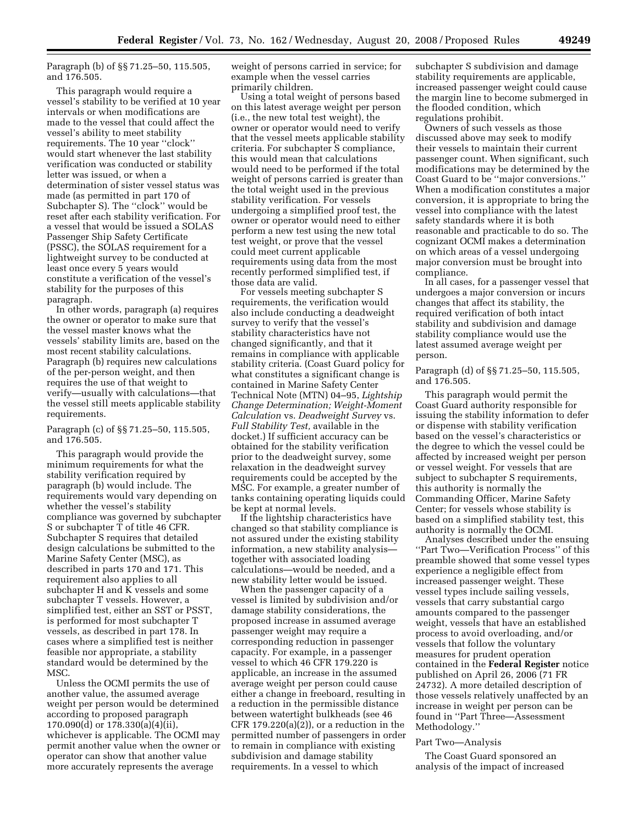Paragraph (b) of §§ 71.25–50, 115.505, and 176.505.

This paragraph would require a vessel's stability to be verified at 10 year intervals or when modifications are made to the vessel that could affect the vessel's ability to meet stability requirements. The 10 year ''clock'' would start whenever the last stability verification was conducted or stability letter was issued, or when a determination of sister vessel status was made (as permitted in part 170 of Subchapter S). The ''clock'' would be reset after each stability verification. For a vessel that would be issued a SOLAS Passenger Ship Safety Certificate (PSSC), the SOLAS requirement for a lightweight survey to be conducted at least once every 5 years would constitute a verification of the vessel's stability for the purposes of this paragraph.

In other words, paragraph (a) requires the owner or operator to make sure that the vessel master knows what the vessels' stability limits are, based on the most recent stability calculations. Paragraph (b) requires new calculations of the per-person weight, and then requires the use of that weight to verify—usually with calculations—that the vessel still meets applicable stability requirements.

Paragraph (c) of §§ 71.25–50, 115.505, and 176.505.

This paragraph would provide the minimum requirements for what the stability verification required by paragraph (b) would include. The requirements would vary depending on whether the vessel's stability compliance was governed by subchapter S or subchapter T of title 46 CFR. Subchapter S requires that detailed design calculations be submitted to the Marine Safety Center (MSC), as described in parts 170 and 171. This requirement also applies to all subchapter H and K vessels and some subchapter T vessels. However, a simplified test, either an SST or PSST, is performed for most subchapter T vessels, as described in part 178. In cases where a simplified test is neither feasible nor appropriate, a stability standard would be determined by the MSC.

Unless the OCMI permits the use of another value, the assumed average weight per person would be determined according to proposed paragraph 170.090(d) or 178.330(a)(4)(ii), whichever is applicable. The OCMI may permit another value when the owner or operator can show that another value more accurately represents the average

weight of persons carried in service; for example when the vessel carries primarily children.

Using a total weight of persons based on this latest average weight per person (i.e., the new total test weight), the owner or operator would need to verify that the vessel meets applicable stability criteria. For subchapter S compliance, this would mean that calculations would need to be performed if the total weight of persons carried is greater than the total weight used in the previous stability verification. For vessels undergoing a simplified proof test, the owner or operator would need to either perform a new test using the new total test weight, or prove that the vessel could meet current applicable requirements using data from the most recently performed simplified test, if those data are valid.

For vessels meeting subchapter S requirements, the verification would also include conducting a deadweight survey to verify that the vessel's stability characteristics have not changed significantly, and that it remains in compliance with applicable stability criteria. (Coast Guard policy for what constitutes a significant change is contained in Marine Safety Center Technical Note (MTN) 04–95, *Lightship Change Determination; Weight-Moment Calculation* vs. *Deadweight Survey* vs. *Full Stability Test,* available in the docket.) If sufficient accuracy can be obtained for the stability verification prior to the deadweight survey, some relaxation in the deadweight survey requirements could be accepted by the MSC. For example, a greater number of tanks containing operating liquids could be kept at normal levels.

If the lightship characteristics have changed so that stability compliance is not assured under the existing stability information, a new stability analysis together with associated loading calculations—would be needed, and a new stability letter would be issued.

When the passenger capacity of a vessel is limited by subdivision and/or damage stability considerations, the proposed increase in assumed average passenger weight may require a corresponding reduction in passenger capacity. For example, in a passenger vessel to which 46 CFR 179.220 is applicable, an increase in the assumed average weight per person could cause either a change in freeboard, resulting in a reduction in the permissible distance between watertight bulkheads (see 46 CFR  $179.220(a)(2)$ , or a reduction in the permitted number of passengers in order to remain in compliance with existing subdivision and damage stability requirements. In a vessel to which

subchapter S subdivision and damage stability requirements are applicable, increased passenger weight could cause the margin line to become submerged in the flooded condition, which regulations prohibit.

Owners of such vessels as those discussed above may seek to modify their vessels to maintain their current passenger count. When significant, such modifications may be determined by the Coast Guard to be ''major conversions.'' When a modification constitutes a major conversion, it is appropriate to bring the vessel into compliance with the latest safety standards where it is both reasonable and practicable to do so. The cognizant OCMI makes a determination on which areas of a vessel undergoing major conversion must be brought into compliance.

In all cases, for a passenger vessel that undergoes a major conversion or incurs changes that affect its stability, the required verification of both intact stability and subdivision and damage stability compliance would use the latest assumed average weight per person.

Paragraph (d) of §§ 71.25–50, 115.505, and 176.505.

This paragraph would permit the Coast Guard authority responsible for issuing the stability information to defer or dispense with stability verification based on the vessel's characteristics or the degree to which the vessel could be affected by increased weight per person or vessel weight. For vessels that are subject to subchapter S requirements, this authority is normally the Commanding Officer, Marine Safety Center; for vessels whose stability is based on a simplified stability test, this authority is normally the OCMI.

Analyses described under the ensuing ''Part Two—Verification Process'' of this preamble showed that some vessel types experience a negligible effect from increased passenger weight. These vessel types include sailing vessels, vessels that carry substantial cargo amounts compared to the passenger weight, vessels that have an established process to avoid overloading, and/or vessels that follow the voluntary measures for prudent operation contained in the **Federal Register** notice published on April 26, 2006 (71 FR 24732). A more detailed description of those vessels relatively unaffected by an increase in weight per person can be found in ''Part Three—Assessment Methodology.''

#### Part Two—Analysis

The Coast Guard sponsored an analysis of the impact of increased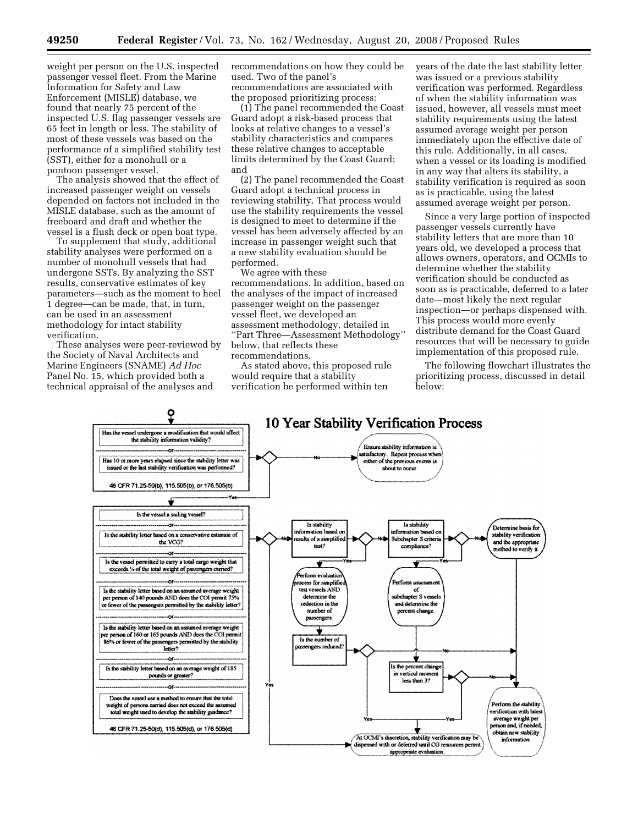weight per person on the U.S. inspected passenger vessel fleet. From the Marine Information for Safety and Law Enforcement (MISLE) database, we found that nearly 75 percent of the inspected U.S. flag passenger vessels are 65 feet in length or less. The stability of most of these vessels was based on the performance of a simplified stability test (SST), either for a monohull or a pontoon passenger vessel.

The analysis showed that the effect of increased passenger weight on vessels depended on factors not included in the MISLE database, such as the amount of freeboard and draft and whether the vessel is a flush deck or open boat type.

To supplement that study, additional stability analyses were performed on a number of monohull vessels that had undergone SSTs. By analyzing the SST results, conservative estimates of key parameters—such as the moment to heel 1 degree—can be made, that, in turn, can be used in an assessment methodology for intact stability verification.

These analyses were peer-reviewed by the Society of Naval Architects and Marine Engineers (SNAME) *Ad Hoc*  Panel No. 15, which provided both a technical appraisal of the analyses and

recommendations on how they could be used. Two of the panel's recommendations are associated with the proposed prioritizing process:

(1) The panel recommended the Coast Guard adopt a risk-based process that looks at relative changes to a vessel's stability characteristics and compares these relative changes to acceptable limits determined by the Coast Guard; and

(2) The panel recommended the Coast Guard adopt a technical process in reviewing stability. That process would use the stability requirements the vessel is designed to meet to determine if the vessel has been adversely affected by an increase in passenger weight such that a new stability evaluation should be performed.

We agree with these recommendations. In addition, based on the analyses of the impact of increased passenger weight on the passenger vessel fleet, we developed an assessment methodology, detailed in ''Part Three—Assessment Methodology'' below, that reflects these recommendations.

As stated above, this proposed rule would require that a stability verification be performed within ten

years of the date the last stability letter was issued or a previous stability verification was performed. Regardless of when the stability information was issued, however, all vessels must meet stability requirements using the latest assumed average weight per person immediately upon the effective date of this rule. Additionally, in all cases, when a vessel or its loading is modified in any way that alters its stability, a stability verification is required as soon as is practicable, using the latest assumed average weight per person.

Since a very large portion of inspected passenger vessels currently have stability letters that are more than 10 years old, we developed a process that allows owners, operators, and OCMIs to determine whether the stability verification should be conducted as soon as is practicable, deferred to a later date—most likely the next regular inspection—or perhaps dispensed with. This process would more evenly distribute demand for the Coast Guard resources that will be necessary to guide implementation of this proposed rule.

The following flowchart illustrates the prioritizing process, discussed in detail below:

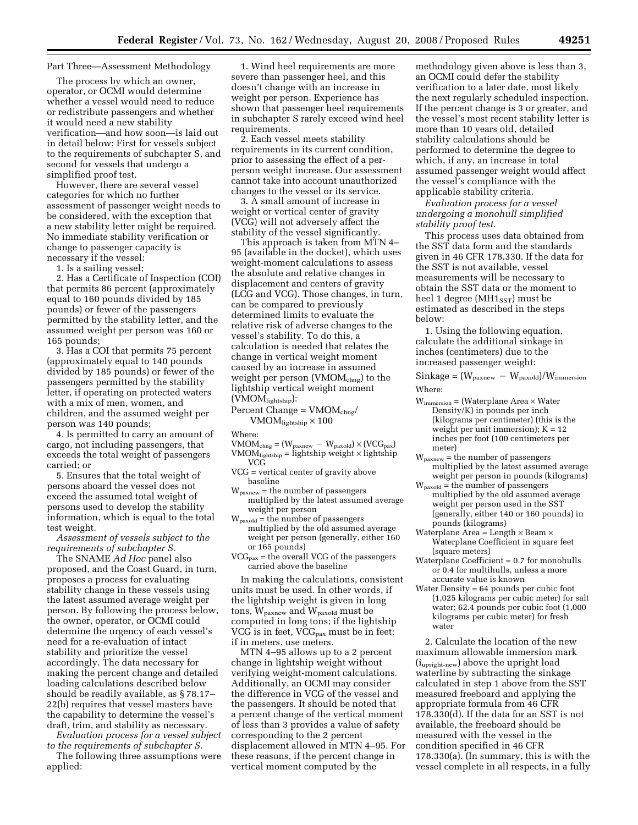# Part Three—Assessment Methodology

The process by which an owner, operator, or OCMI would determine whether a vessel would need to reduce or redistribute passengers and whether it would need a new stability verification—and how soon—is laid out in detail below: First for vessels subject to the requirements of subchapter S, and second for vessels that undergo a simplified proof test.

However, there are several vessel categories for which no further assessment of passenger weight needs to be considered, with the exception that a new stability letter might be required. No immediate stability verification or change to passenger capacity is necessary if the vessel:

1. Is a sailing vessel;

2. Has a Certificate of Inspection (COI) that permits 86 percent (approximately equal to 160 pounds divided by 185 pounds) or fewer of the passengers permitted by the stability letter, and the assumed weight per person was 160 or 165 pounds;

3. Has a COI that permits 75 percent (approximately equal to 140 pounds divided by 185 pounds) or fewer of the passengers permitted by the stability letter, if operating on protected waters with a mix of men, women, and children, and the assumed weight per person was 140 pounds;

4. Is permitted to carry an amount of cargo, not including passengers, that exceeds the total weight of passengers carried; or

5. Ensures that the total weight of persons aboard the vessel does not exceed the assumed total weight of persons used to develop the stability information, which is equal to the total test weight.

*Assessment of vessels subject to the requirements of subchapter S.* 

The SNAME *Ad Hoc* panel also proposed, and the Coast Guard, in turn, proposes a process for evaluating stability change in these vessels using the latest assumed average weight per person. By following the process below, the owner, operator, or OCMI could determine the urgency of each vessel's need for a re-evaluation of intact stability and prioritize the vessel accordingly. The data necessary for making the percent change and detailed loading calculations described below should be readily available, as § 78.17– 22(b) requires that vessel masters have the capability to determine the vessel's draft, trim, and stability as necessary.

*Evaluation process for a vessel subject to the requirements of subchapter S.*  The following three assumptions were

applied:

1. Wind heel requirements are more severe than passenger heel, and this doesn't change with an increase in weight per person. Experience has shown that passenger heel requirements in subchapter S rarely exceed wind heel requirements.

2. Each vessel meets stability requirements in its current condition, prior to assessing the effect of a perperson weight increase. Our assessment cannot take into account unauthorized changes to the vessel or its service.

3. A small amount of increase in weight or vertical center of gravity (VCG) will not adversely affect the stability of the vessel significantly.

This approach is taken from MTN 4– 95 (available in the docket), which uses weight-moment calculations to assess the absolute and relative changes in displacement and centers of gravity (LCG and VCG). Those changes, in turn, can be compared to previously determined limits to evaluate the relative risk of adverse changes to the vessel's stability. To do this, a calculation is needed that relates the change in vertical weight moment caused by an increase in assumed weight per person (VMOM<sub>chng</sub>) to the lightship vertical weight moment  $(VMOM<sub>lightship</sub>)$ :

 $Percent Change = VMOM_{chng}/$ 

 $VMOM_{\rm lightship} \times 100$ 

Where:

- $VMOM_{\text{chng}} = (W_{\text{paxnew}} W_{\text{paxold}}) \times (VCG_{\text{pax}})$  $VMOM<sub>lightship</sub> = lightship weight \times lightship$ VCG
- VCG = vertical center of gravity above baseline
- $W_{\text{paxnew}} =$  the number of passengers multiplied by the latest assumed average weight per person
- $W_{\text{pascal}}$  = the number of passengers multiplied by the old assumed average weight per person (generally, either 160 or 165 pounds)
- $VCG<sub>pax</sub> =$  the overall VCG of the passengers carried above the baseline

In making the calculations, consistent units must be used. In other words, if the lightship weight is given in long tons, Wpaxnew and Wpaxold must be computed in long tons; if the lightship VCG is in feet,  $VCG_{\text{max}}$  must be in feet; if in meters, use meters.

MTN 4–95 allows up to a 2 percent change in lightship weight without verifying weight-moment calculations. Additionally, an OCMI may consider the difference in VCG of the vessel and the passengers. It should be noted that a percent change of the vertical moment of less than 3 provides a value of safety corresponding to the 2 percent displacement allowed in MTN 4–95. For these reasons, if the percent change in vertical moment computed by the

methodology given above is less than 3, an OCMI could defer the stability verification to a later date, most likely the next regularly scheduled inspection. If the percent change is 3 or greater, and the vessel's most recent stability letter is more than 10 years old, detailed stability calculations should be performed to determine the degree to which, if any, an increase in total assumed passenger weight would affect the vessel's compliance with the applicable stability criteria.

*Evaluation process for a vessel undergoing a monohull simplified stability proof test.* 

This process uses data obtained from the SST data form and the standards given in 46 CFR 178.330. If the data for the SST is not available, vessel measurements will be necessary to obtain the SST data or the moment to heel 1 degree ( $MH1_{SST}$ ) must be estimated as described in the steps below:

1. Using the following equation, calculate the additional sinkage in inches (centimeters) due to the increased passenger weight:

 $\text{Sinkage} = (W_{\text{paxnew}} - W_{\text{paxold}})/W_{\text{immersion}}$ Where:

- Wimmersion = (Waterplane Area × Water Density/K) in pounds per inch (kilograms per centimeter) (this is the weight per unit immersion);  $K = 12$ inches per foot (100 centimeters per meter)
- Wpaxnew = the number of passengers multiplied by the latest assumed average weight per person in pounds (kilograms)
- $W_{\text{pascal}}$  = the number of passengers multiplied by the old assumed average weight per person used in the SST (generally, either 140 or 160 pounds) in pounds (kilograms)
- Waterplane Area = Length  $\times$  Beam  $\times$ Waterplane Coefficient in square feet (square meters)
- Waterplane Coefficient = 0.7 for monohulls or 0.4 for multihulls, unless a more accurate value is known
- Water Density = 64 pounds per cubic foot (1,025 kilograms per cubic meter) for salt water; 62.4 pounds per cubic foot (1,000 kilograms per cubic meter) for fresh water

2. Calculate the location of the new maximum allowable immersion mark (iupright-new) above the upright load waterline by subtracting the sinkage calculated in step 1 above from the SST measured freeboard and applying the appropriate formula from 46 CFR 178.330(d). If the data for an SST is not available, the freeboard should be measured with the vessel in the condition specified in 46 CFR 178.330(a). (In summary, this is with the vessel complete in all respects, in a fully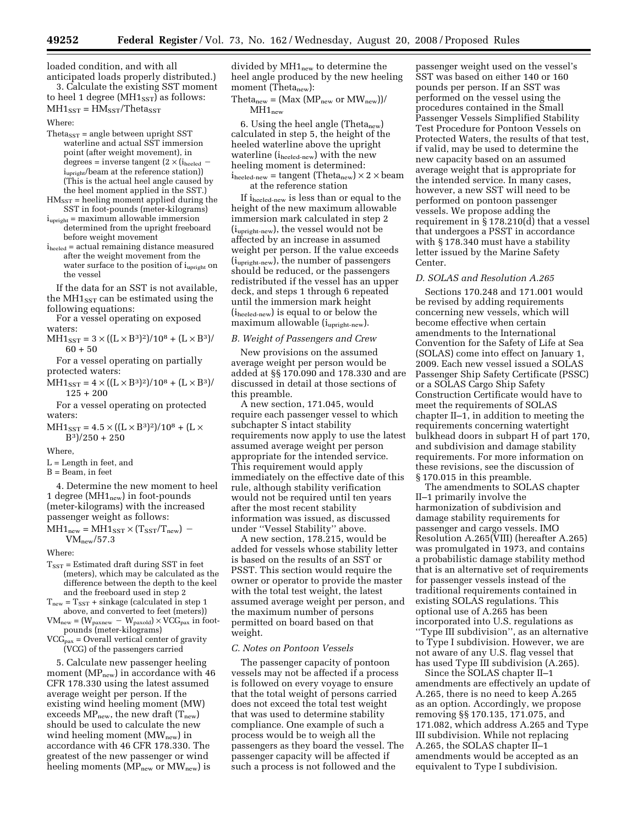loaded condition, and with all anticipated loads properly distributed.)

3. Calculate the existing SST moment to heel 1 degree ( $MH1_{SST}$ ) as follows:

 $MH1_{SST} = HM_{SST}/Theta_{SST}$ 

Where:

- Theta<sub>SST</sub> = angle between upright SST waterline and actual SST immersion point (after weight movement), in degrees = inverse tangent  $(2 \times (i_{\text{heeled}}$ i<sub>upright</sub>/beam at the reference station)) (This is the actual heel angle caused by the heel moment applied in the SST.)
- $HM_{SST}$  = heeling moment applied during the SST in foot-pounds (meter-kilograms)
- $i_{\text{upright}}$  = maximum allowable immersion determined from the upright freeboard before weight movement
- iheeled = actual remaining distance measured after the weight movement from the water surface to the position of  $i_{\text{upright}}$  on the vessel

If the data for an SST is not available, the  $MH1_{SST}$  can be estimated using the following equations:

For a vessel operating on exposed waters:

 $MH1_{SST} = 3 \times ((L \times B^3)^2)/10^8 + (L \times B^3)/$ 60 + 50

For a vessel operating on partially protected waters:

 $MH1_{SST} = 4 \times ((L \times B^3)^2)/10^8 + (L \times B^3)/$ 125 + 200

For a vessel operating on protected waters:

 $MH1_{SST} = 4.5 \times ((L \times B^3)^2)/10^8 + (L \times$  $B^3$  $/250 + 250$ 

Where

 $L =$  Length in feet, and

 $B =$  Beam, in feet

4. Determine the new moment to heel 1 degree ( $MH1_{new}$ ) in foot-pounds (meter-kilograms) with the increased passenger weight as follows:

$$
MH1new = MH1SST \times (TSST/Tnew) -VMnew/57.3
$$

Where:

 $T<sub>SST</sub>$  = Estimated draft during SST in feet (meters), which may be calculated as the difference between the depth to the keel and the freeboard used in step 2

 $T<sub>new</sub> = T<sub>SST</sub> + sinkage (calculated in step 1)$ above, and converted to feet (meters))  $VM_{new} = (W_{\text{parameter}} - W_{\text{parallel}}) \times VCG_{\text{max}}$  in foot-

pounds (meter-kilograms)  $VCG_{\text{pax}} = Overall$  vertical center of gravity

(VCG) of the passengers carried

5. Calculate new passenger heeling moment ( $MP<sub>new</sub>$ ) in accordance with 46 CFR 178.330 using the latest assumed average weight per person. If the existing wind heeling moment (MW) exceeds  $MP<sub>new</sub>$ , the new draft  $(T<sub>new</sub>)$ should be used to calculate the new wind heeling moment  $(MW<sub>new</sub>)$  in accordance with 46 CFR 178.330. The greatest of the new passenger or wind heeling moments  $(MP_{new}$  or  $MW_{new}$ ) is

divided by MH1new to determine the heel angle produced by the new heeling moment (Theta<sub>new</sub>):

 $Theta<sub>new</sub> = (Max (MP<sub>new</sub> or MW<sub>new</sub>))/$  $MH1_{new}$ 

6. Using the heel angle (Theta<sub>new</sub>) calculated in step 5, the height of the heeled waterline above the upright waterline (i<sub>heeled-new</sub>) with the new heeling moment is determined:  $i_{\text{heeled-new}}$  = tangent (Theta<sub>new</sub>)  $\times$  2  $\times$  beam at the reference station

If iheeled-new is less than or equal to the height of the new maximum allowable immersion mark calculated in step 2 (iupright-new), the vessel would not be affected by an increase in assumed weight per person. If the value exceeds (iupright-new), the number of passengers should be reduced, or the passengers redistributed if the vessel has an upper deck, and steps 1 through 6 repeated until the immersion mark height (iheeled-new) is equal to or below the maximum allowable (iupright-new).

### *B. Weight of Passengers and Crew*

New provisions on the assumed average weight per person would be added at §§ 170.090 and 178.330 and are discussed in detail at those sections of this preamble.

A new section, 171.045, would require each passenger vessel to which subchapter S intact stability requirements now apply to use the latest assumed average weight per person appropriate for the intended service. This requirement would apply immediately on the effective date of this rule, although stability verification would not be required until ten years after the most recent stability information was issued, as discussed under ''Vessel Stability'' above.

A new section, 178.215, would be added for vessels whose stability letter is based on the results of an SST or PSST. This section would require the owner or operator to provide the master with the total test weight, the latest assumed average weight per person, and the maximum number of persons permitted on board based on that weight.

### *C. Notes on Pontoon Vessels*

The passenger capacity of pontoon vessels may not be affected if a process is followed on every voyage to ensure that the total weight of persons carried does not exceed the total test weight that was used to determine stability compliance. One example of such a process would be to weigh all the passengers as they board the vessel. The passenger capacity will be affected if such a process is not followed and the

passenger weight used on the vessel's SST was based on either 140 or 160 pounds per person. If an SST was performed on the vessel using the procedures contained in the Small Passenger Vessels Simplified Stability Test Procedure for Pontoon Vessels on Protected Waters, the results of that test, if valid, may be used to determine the new capacity based on an assumed average weight that is appropriate for the intended service. In many cases, however, a new SST will need to be performed on pontoon passenger vessels. We propose adding the requirement in § 178.210(d) that a vessel that undergoes a PSST in accordance with § 178.340 must have a stability letter issued by the Marine Safety Center.

# *D. SOLAS and Resolution A.265*

Sections 170.248 and 171.001 would be revised by adding requirements concerning new vessels, which will become effective when certain amendments to the International Convention for the Safety of Life at Sea (SOLAS) come into effect on January 1, 2009. Each new vessel issued a SOLAS Passenger Ship Safety Certificate (PSSC) or a SOLAS Cargo Ship Safety Construction Certificate would have to meet the requirements of SOLAS chapter II–1, in addition to meeting the requirements concerning watertight bulkhead doors in subpart H of part 170, and subdivision and damage stability requirements. For more information on these revisions, see the discussion of § 170.015 in this preamble.

The amendments to SOLAS chapter II–1 primarily involve the harmonization of subdivision and damage stability requirements for passenger and cargo vessels. IMO Resolution A.265(VIII) (hereafter A.265) was promulgated in 1973, and contains a probabilistic damage stability method that is an alternative set of requirements for passenger vessels instead of the traditional requirements contained in existing SOLAS regulations. This optional use of A.265 has been incorporated into U.S. regulations as ''Type III subdivision'', as an alternative to Type I subdivision. However, we are not aware of any U.S. flag vessel that has used Type III subdivision (A.265).

Since the SOLAS chapter II–1 amendments are effectively an update of A.265, there is no need to keep A.265 as an option. Accordingly, we propose removing §§ 170.135, 171.075, and 171.082, which address A.265 and Type III subdivision. While not replacing A.265, the SOLAS chapter II–1 amendments would be accepted as an equivalent to Type I subdivision.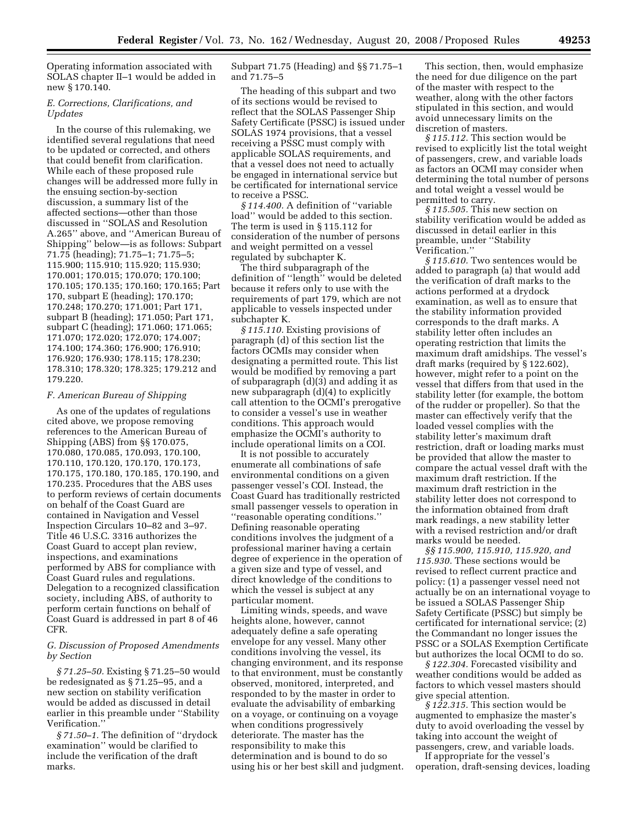Operating information associated with SOLAS chapter II–1 would be added in new § 170.140.

# *E. Corrections, Clarifications, and Updates*

In the course of this rulemaking, we identified several regulations that need to be updated or corrected, and others that could benefit from clarification. While each of these proposed rule changes will be addressed more fully in the ensuing section-by-section discussion, a summary list of the affected sections—other than those discussed in ''SOLAS and Resolution A.265'' above, and ''American Bureau of Shipping'' below—is as follows: Subpart 71.75 (heading); 71.75–1; 71.75–5; 115.900; 115.910; 115.920; 115.930; 170.001; 170.015; 170.070; 170.100; 170.105; 170.135; 170.160; 170.165; Part 170, subpart E (heading); 170.170; 170.248; 170.270; 171.001; Part 171, subpart B (heading); 171.050; Part 171, subpart C (heading); 171.060; 171.065; 171.070; 172.020; 172.070; 174.007; 174.100; 174.360; 176.900; 176.910; 176.920; 176.930; 178.115; 178.230; 178.310; 178.320; 178.325; 179.212 and 179.220.

### *F. American Bureau of Shipping*

As one of the updates of regulations cited above, we propose removing references to the American Bureau of Shipping (ABS) from §§ 170.075, 170.080, 170.085, 170.093, 170.100, 170.110, 170.120, 170.170, 170.173, 170.175, 170.180, 170.185, 170.190, and 170.235. Procedures that the ABS uses to perform reviews of certain documents on behalf of the Coast Guard are contained in Navigation and Vessel Inspection Circulars 10–82 and 3–97. Title 46 U.S.C. 3316 authorizes the Coast Guard to accept plan review, inspections, and examinations performed by ABS for compliance with Coast Guard rules and regulations. Delegation to a recognized classification society, including ABS, of authority to perform certain functions on behalf of Coast Guard is addressed in part 8 of 46 CFR.

# *G. Discussion of Proposed Amendments by Section*

*§ 71.25–50.* Existing § 71.25–50 would be redesignated as § 71.25–95, and a new section on stability verification would be added as discussed in detail earlier in this preamble under ''Stability Verification.''

*§ 71.50–1.* The definition of ''drydock examination'' would be clarified to include the verification of the draft marks.

# Subpart 71.75 (Heading) and §§ 71.75–1 and 71.75–5

The heading of this subpart and two of its sections would be revised to reflect that the SOLAS Passenger Ship Safety Certificate (PSSC) is issued under SOLAS 1974 provisions, that a vessel receiving a PSSC must comply with applicable SOLAS requirements, and that a vessel does not need to actually be engaged in international service but be certificated for international service to receive a PSSC.

*§ 114.400.* A definition of ''variable load'' would be added to this section. The term is used in § 115.112 for consideration of the number of persons and weight permitted on a vessel regulated by subchapter K.

The third subparagraph of the definition of ''length'' would be deleted because it refers only to use with the requirements of part 179, which are not applicable to vessels inspected under subchapter K.

*§ 115.110.* Existing provisions of paragraph (d) of this section list the factors OCMIs may consider when designating a permitted route. This list would be modified by removing a part of subparagraph (d)(3) and adding it as new subparagraph (d)(4) to explicitly call attention to the OCMI's prerogative to consider a vessel's use in weather conditions. This approach would emphasize the OCMI's authority to include operational limits on a COI.

It is not possible to accurately enumerate all combinations of safe environmental conditions on a given passenger vessel's COI. Instead, the Coast Guard has traditionally restricted small passenger vessels to operation in ''reasonable operating conditions.'' Defining reasonable operating conditions involves the judgment of a professional mariner having a certain degree of experience in the operation of a given size and type of vessel, and direct knowledge of the conditions to which the vessel is subject at any particular moment.

Limiting winds, speeds, and wave heights alone, however, cannot adequately define a safe operating envelope for any vessel. Many other conditions involving the vessel, its changing environment, and its response to that environment, must be constantly observed, monitored, interpreted, and responded to by the master in order to evaluate the advisability of embarking on a voyage, or continuing on a voyage when conditions progressively deteriorate. The master has the responsibility to make this determination and is bound to do so using his or her best skill and judgment.

This section, then, would emphasize the need for due diligence on the part of the master with respect to the weather, along with the other factors stipulated in this section, and would avoid unnecessary limits on the discretion of masters.

*§ 115.112.* This section would be revised to explicitly list the total weight of passengers, crew, and variable loads as factors an OCMI may consider when determining the total number of persons and total weight a vessel would be permitted to carry.

*§ 115.505.* This new section on stability verification would be added as discussed in detail earlier in this preamble, under ''Stability Verification.''

*§ 115.610.* Two sentences would be added to paragraph (a) that would add the verification of draft marks to the actions performed at a drydock examination, as well as to ensure that the stability information provided corresponds to the draft marks. A stability letter often includes an operating restriction that limits the maximum draft amidships. The vessel's draft marks (required by § 122.602), however, might refer to a point on the vessel that differs from that used in the stability letter (for example, the bottom of the rudder or propeller). So that the master can effectively verify that the loaded vessel complies with the stability letter's maximum draft restriction, draft or loading marks must be provided that allow the master to compare the actual vessel draft with the maximum draft restriction. If the maximum draft restriction in the stability letter does not correspond to the information obtained from draft mark readings, a new stability letter with a revised restriction and/or draft marks would be needed.

*§§ 115.900, 115.910, 115.920, and 115.930.* These sections would be revised to reflect current practice and policy: (1) a passenger vessel need not actually be on an international voyage to be issued a SOLAS Passenger Ship Safety Certificate (PSSC) but simply be certificated for international service; (2) the Commandant no longer issues the PSSC or a SOLAS Exemption Certificate but authorizes the local OCMI to do so.

*§ 122.304.* Forecasted visibility and weather conditions would be added as factors to which vessel masters should give special attention.

*§ 122.315.* This section would be augmented to emphasize the master's duty to avoid overloading the vessel by taking into account the weight of passengers, crew, and variable loads.

If appropriate for the vessel's operation, draft-sensing devices, loading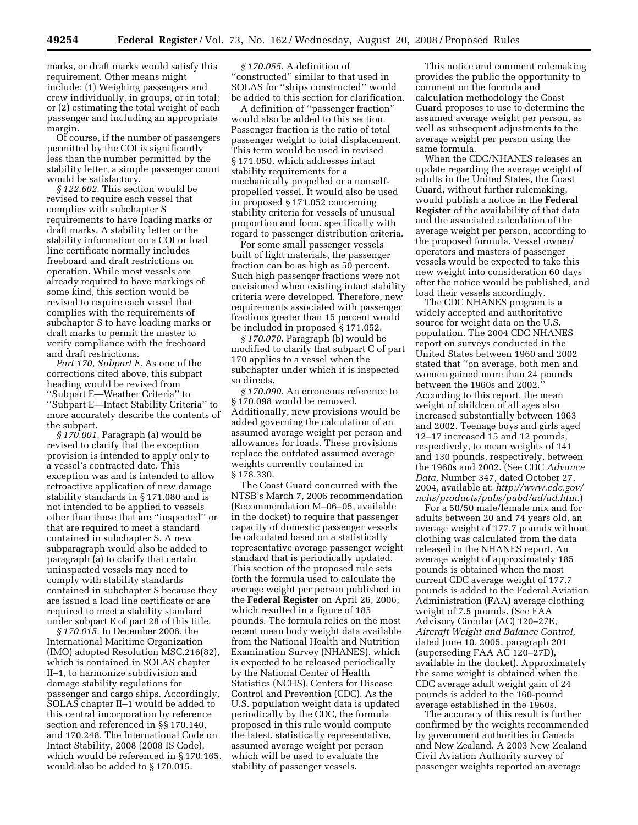marks, or draft marks would satisfy this requirement. Other means might include: (1) Weighing passengers and crew individually, in groups, or in total; or (2) estimating the total weight of each passenger and including an appropriate margin.

Of course, if the number of passengers permitted by the COI is significantly less than the number permitted by the stability letter, a simple passenger count would be satisfactory.

*§ 122.602.* This section would be revised to require each vessel that complies with subchapter S requirements to have loading marks or draft marks. A stability letter or the stability information on a COI or load line certificate normally includes freeboard and draft restrictions on operation. While most vessels are already required to have markings of some kind, this section would be revised to require each vessel that complies with the requirements of subchapter S to have loading marks or draft marks to permit the master to verify compliance with the freeboard and draft restrictions.

*Part 170, Subpart E.* As one of the corrections cited above, this subpart heading would be revised from ''Subpart E—Weather Criteria'' to ''Subpart E—Intact Stability Criteria'' to more accurately describe the contents of the subpart.

*§ 170.001.* Paragraph (a) would be revised to clarify that the exception provision is intended to apply only to a vessel's contracted date. This exception was and is intended to allow retroactive application of new damage stability standards in § 171.080 and is not intended to be applied to vessels other than those that are ''inspected'' or that are required to meet a standard contained in subchapter S. A new subparagraph would also be added to paragraph (a) to clarify that certain uninspected vessels may need to comply with stability standards contained in subchapter S because they are issued a load line certificate or are required to meet a stability standard under subpart E of part 28 of this title.

*§ 170.015.* In December 2006, the International Maritime Organization (IMO) adopted Resolution MSC.216(82), which is contained in SOLAS chapter II–1, to harmonize subdivision and damage stability regulations for passenger and cargo ships. Accordingly, SOLAS chapter II–1 would be added to this central incorporation by reference section and referenced in §§ 170.140, and 170.248. The International Code on Intact Stability, 2008 (2008 IS Code), which would be referenced in § 170.165, would also be added to § 170.015.

*§ 170.055.* A definition of ''constructed'' similar to that used in SOLAS for ''ships constructed'' would be added to this section for clarification.

A definition of ''passenger fraction'' would also be added to this section. Passenger fraction is the ratio of total passenger weight to total displacement. This term would be used in revised § 171.050, which addresses intact stability requirements for a mechanically propelled or a nonselfpropelled vessel. It would also be used in proposed § 171.052 concerning stability criteria for vessels of unusual proportion and form, specifically with regard to passenger distribution criteria.

For some small passenger vessels built of light materials, the passenger fraction can be as high as 50 percent. Such high passenger fractions were not envisioned when existing intact stability criteria were developed. Therefore, new requirements associated with passenger fractions greater than 15 percent would be included in proposed § 171.052.

*§ 170.070.* Paragraph (b) would be modified to clarify that subpart C of part 170 applies to a vessel when the subchapter under which it is inspected so directs.

*§ 170.090.* An erroneous reference to § 170.098 would be removed. Additionally, new provisions would be added governing the calculation of an assumed average weight per person and allowances for loads. These provisions replace the outdated assumed average weights currently contained in § 178.330.

The Coast Guard concurred with the NTSB's March 7, 2006 recommendation (Recommendation M–06–05, available in the docket) to require that passenger capacity of domestic passenger vessels be calculated based on a statistically representative average passenger weight standard that is periodically updated. This section of the proposed rule sets forth the formula used to calculate the average weight per person published in the **Federal Register** on April 26, 2006, which resulted in a figure of 185 pounds. The formula relies on the most recent mean body weight data available from the National Health and Nutrition Examination Survey (NHANES), which is expected to be released periodically by the National Center of Health Statistics (NCHS), Centers for Disease Control and Prevention (CDC). As the U.S. population weight data is updated periodically by the CDC, the formula proposed in this rule would compute the latest, statistically representative, assumed average weight per person which will be used to evaluate the stability of passenger vessels.

This notice and comment rulemaking provides the public the opportunity to comment on the formula and calculation methodology the Coast Guard proposes to use to determine the assumed average weight per person, as well as subsequent adjustments to the average weight per person using the same formula.

When the CDC/NHANES releases an update regarding the average weight of adults in the United States, the Coast Guard, without further rulemaking, would publish a notice in the **Federal Register** of the availability of that data and the associated calculation of the average weight per person, according to the proposed formula. Vessel owner/ operators and masters of passenger vessels would be expected to take this new weight into consideration 60 days after the notice would be published, and load their vessels accordingly.

The CDC NHANES program is a widely accepted and authoritative source for weight data on the U.S. population. The 2004 CDC NHANES report on surveys conducted in the United States between 1960 and 2002 stated that ''on average, both men and women gained more than 24 pounds between the 1960s and 2002.'' According to this report, the mean weight of children of all ages also increased substantially between 1963 and 2002. Teenage boys and girls aged 12–17 increased 15 and 12 pounds, respectively, to mean weights of 141 and 130 pounds, respectively, between the 1960s and 2002. (See CDC *Advance Data,* Number 347, dated October 27, 2004, available at: *http://www.cdc.gov/ nchs/products/pubs/pubd/ad/ad.htm.*)

For a 50/50 male/female mix and for adults between 20 and 74 years old, an average weight of 177.7 pounds without clothing was calculated from the data released in the NHANES report. An average weight of approximately 185 pounds is obtained when the most current CDC average weight of 177.7 pounds is added to the Federal Aviation Administration (FAA) average clothing weight of 7.5 pounds. (See FAA Advisory Circular (AC) 120–27E, *Aircraft Weight and Balance Control,*  dated June 10, 2005, paragraph 201 (superseding FAA AC 120–27D), available in the docket). Approximately the same weight is obtained when the CDC average adult weight gain of 24 pounds is added to the 160-pound average established in the 1960s.

The accuracy of this result is further confirmed by the weights recommended by government authorities in Canada and New Zealand. A 2003 New Zealand Civil Aviation Authority survey of passenger weights reported an average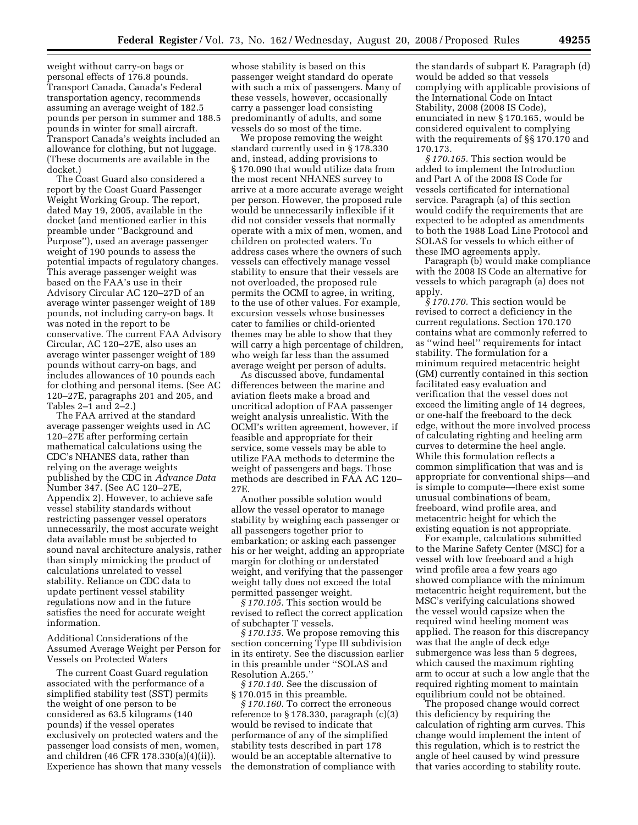weight without carry-on bags or personal effects of 176.8 pounds. Transport Canada, Canada's Federal transportation agency, recommends assuming an average weight of 182.5 pounds per person in summer and 188.5 pounds in winter for small aircraft. Transport Canada's weights included an allowance for clothing, but not luggage. (These documents are available in the docket.)

The Coast Guard also considered a report by the Coast Guard Passenger Weight Working Group. The report, dated May 19, 2005, available in the docket (and mentioned earlier in this preamble under ''Background and Purpose''), used an average passenger weight of 190 pounds to assess the potential impacts of regulatory changes. This average passenger weight was based on the FAA's use in their Advisory Circular AC 120–27D of an average winter passenger weight of 189 pounds, not including carry-on bags. It was noted in the report to be conservative. The current FAA Advisory Circular, AC 120–27E, also uses an average winter passenger weight of 189 pounds without carry-on bags, and includes allowances of 10 pounds each for clothing and personal items. (See AC 120–27E, paragraphs 201 and 205, and Tables 2–1 and 2–2.)

The FAA arrived at the standard average passenger weights used in AC 120–27E after performing certain mathematical calculations using the CDC's NHANES data, rather than relying on the average weights published by the CDC in *Advance Data*  Number 347. (See AC 120–27E, Appendix 2). However, to achieve safe vessel stability standards without restricting passenger vessel operators unnecessarily, the most accurate weight data available must be subjected to sound naval architecture analysis, rather than simply mimicking the product of calculations unrelated to vessel stability. Reliance on CDC data to update pertinent vessel stability regulations now and in the future satisfies the need for accurate weight information.

Additional Considerations of the Assumed Average Weight per Person for Vessels on Protected Waters

The current Coast Guard regulation associated with the performance of a simplified stability test (SST) permits the weight of one person to be considered as 63.5 kilograms (140 pounds) if the vessel operates exclusively on protected waters and the passenger load consists of men, women, and children (46 CFR 178.330(a)(4)(ii)). Experience has shown that many vessels

whose stability is based on this passenger weight standard do operate with such a mix of passengers. Many of these vessels, however, occasionally carry a passenger load consisting predominantly of adults, and some vessels do so most of the time.

We propose removing the weight standard currently used in § 178.330 and, instead, adding provisions to § 170.090 that would utilize data from the most recent NHANES survey to arrive at a more accurate average weight per person. However, the proposed rule would be unnecessarily inflexible if it did not consider vessels that normally operate with a mix of men, women, and children on protected waters. To address cases where the owners of such vessels can effectively manage vessel stability to ensure that their vessels are not overloaded, the proposed rule permits the OCMI to agree, in writing, to the use of other values. For example, excursion vessels whose businesses cater to families or child-oriented themes may be able to show that they will carry a high percentage of children, who weigh far less than the assumed average weight per person of adults.

As discussed above, fundamental differences between the marine and aviation fleets make a broad and uncritical adoption of FAA passenger weight analysis unrealistic. With the OCMI's written agreement, however, if feasible and appropriate for their service, some vessels may be able to utilize FAA methods to determine the weight of passengers and bags. Those methods are described in FAA AC 120– 27E.

Another possible solution would allow the vessel operator to manage stability by weighing each passenger or all passengers together prior to embarkation; or asking each passenger his or her weight, adding an appropriate margin for clothing or understated weight, and verifying that the passenger weight tally does not exceed the total permitted passenger weight.

*§ 170.105.* This section would be revised to reflect the correct application of subchapter T vessels.

*§ 170.135.* We propose removing this section concerning Type III subdivision in its entirety. See the discussion earlier in this preamble under ''SOLAS and Resolution A.265.''

*§ 170.140.* See the discussion of § 170.015 in this preamble.

*§ 170.160.* To correct the erroneous reference to § 178.330, paragraph (c)(3) would be revised to indicate that performance of any of the simplified stability tests described in part 178 would be an acceptable alternative to the demonstration of compliance with

the standards of subpart E. Paragraph (d) would be added so that vessels complying with applicable provisions of the International Code on Intact Stability, 2008 (2008 IS Code), enunciated in new § 170.165, would be considered equivalent to complying with the requirements of §§ 170.170 and 170.173.

*§ 170.165.* This section would be added to implement the Introduction and Part A of the 2008 IS Code for vessels certificated for international service. Paragraph (a) of this section would codify the requirements that are expected to be adopted as amendments to both the 1988 Load Line Protocol and SOLAS for vessels to which either of these IMO agreements apply.

Paragraph (b) would make compliance with the 2008 IS Code an alternative for vessels to which paragraph (a) does not apply.

*§ 170.170.* This section would be revised to correct a deficiency in the current regulations. Section 170.170 contains what are commonly referred to as ''wind heel'' requirements for intact stability. The formulation for a minimum required metacentric height (GM) currently contained in this section facilitated easy evaluation and verification that the vessel does not exceed the limiting angle of 14 degrees, or one-half the freeboard to the deck edge, without the more involved process of calculating righting and heeling arm curves to determine the heel angle. While this formulation reflects a common simplification that was and is appropriate for conventional ships—and is simple to compute—there exist some unusual combinations of beam, freeboard, wind profile area, and metacentric height for which the existing equation is not appropriate.

For example, calculations submitted to the Marine Safety Center (MSC) for a vessel with low freeboard and a high wind profile area a few years ago showed compliance with the minimum metacentric height requirement, but the MSC's verifying calculations showed the vessel would capsize when the required wind heeling moment was applied. The reason for this discrepancy was that the angle of deck edge submergence was less than 5 degrees, which caused the maximum righting arm to occur at such a low angle that the required righting moment to maintain equilibrium could not be obtained.

The proposed change would correct this deficiency by requiring the calculation of righting arm curves. This change would implement the intent of this regulation, which is to restrict the angle of heel caused by wind pressure that varies according to stability route.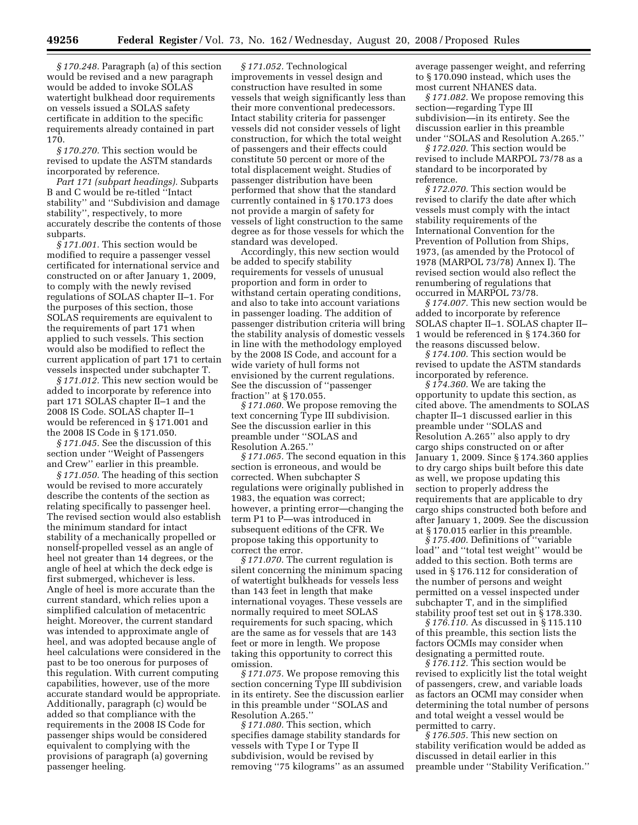*§ 170.248.* Paragraph (a) of this section would be revised and a new paragraph would be added to invoke SOLAS watertight bulkhead door requirements on vessels issued a SOLAS safety certificate in addition to the specific requirements already contained in part 170.

*§ 170.270.* This section would be revised to update the ASTM standards incorporated by reference.

*Part 171 (subpart headings).* Subparts B and C would be re-titled ''Intact stability'' and ''Subdivision and damage stability'', respectively, to more accurately describe the contents of those subparts.

*§ 171.001.* This section would be modified to require a passenger vessel certificated for international service and constructed on or after January 1, 2009, to comply with the newly revised regulations of SOLAS chapter II–1. For the purposes of this section, those SOLAS requirements are equivalent to the requirements of part 171 when applied to such vessels. This section would also be modified to reflect the current application of part 171 to certain vessels inspected under subchapter T.

*§ 171.012.* This new section would be added to incorporate by reference into part 171 SOLAS chapter II–1 and the 2008 IS Code. SOLAS chapter II–1 would be referenced in § 171.001 and the 2008 IS Code in § 171.050.

*§ 171.045.* See the discussion of this section under ''Weight of Passengers and Crew'' earlier in this preamble.

*§ 171.050.* The heading of this section would be revised to more accurately describe the contents of the section as relating specifically to passenger heel. The revised section would also establish the minimum standard for intact stability of a mechanically propelled or nonself-propelled vessel as an angle of heel not greater than 14 degrees, or the angle of heel at which the deck edge is first submerged, whichever is less. Angle of heel is more accurate than the current standard, which relies upon a simplified calculation of metacentric height. Moreover, the current standard was intended to approximate angle of heel, and was adopted because angle of heel calculations were considered in the past to be too onerous for purposes of this regulation. With current computing capabilities, however, use of the more accurate standard would be appropriate. Additionally, paragraph (c) would be added so that compliance with the requirements in the 2008 IS Code for passenger ships would be considered equivalent to complying with the provisions of paragraph (a) governing passenger heeling.

*§ 171.052.* Technological improvements in vessel design and construction have resulted in some vessels that weigh significantly less than their more conventional predecessors. Intact stability criteria for passenger vessels did not consider vessels of light construction, for which the total weight of passengers and their effects could constitute 50 percent or more of the total displacement weight. Studies of passenger distribution have been performed that show that the standard currently contained in § 170.173 does not provide a margin of safety for vessels of light construction to the same degree as for those vessels for which the standard was developed.

Accordingly, this new section would be added to specify stability requirements for vessels of unusual proportion and form in order to withstand certain operating conditions, and also to take into account variations in passenger loading. The addition of passenger distribution criteria will bring the stability analysis of domestic vessels in line with the methodology employed by the 2008 IS Code, and account for a wide variety of hull forms not envisioned by the current regulations. See the discussion of ''passenger fraction'' at § 170.055.

*§ 171.060.* We propose removing the text concerning Type III subdivision. See the discussion earlier in this preamble under ''SOLAS and Resolution A.265.''

*§ 171.065.* The second equation in this section is erroneous, and would be corrected. When subchapter S regulations were originally published in 1983, the equation was correct; however, a printing error—changing the term P1 to P—was introduced in subsequent editions of the CFR. We propose taking this opportunity to correct the error.

*§ 171.070.* The current regulation is silent concerning the minimum spacing of watertight bulkheads for vessels less than 143 feet in length that make international voyages. These vessels are normally required to meet SOLAS requirements for such spacing, which are the same as for vessels that are 143 feet or more in length. We propose taking this opportunity to correct this omission.

*§ 171.075.* We propose removing this section concerning Type III subdivision in its entirety. See the discussion earlier in this preamble under ''SOLAS and Resolution A.265.''

*§ 171.080.* This section, which specifies damage stability standards for vessels with Type I or Type II subdivision, would be revised by removing ''75 kilograms'' as an assumed average passenger weight, and referring to § 170.090 instead, which uses the most current NHANES data.

*§ 171.082.* We propose removing this section—regarding Type III subdivision—in its entirety. See the discussion earlier in this preamble under ''SOLAS and Resolution A.265.''

*§ 172.020.* This section would be revised to include MARPOL 73/78 as a standard to be incorporated by reference.

*§ 172.070.* This section would be revised to clarify the date after which vessels must comply with the intact stability requirements of the International Convention for the Prevention of Pollution from Ships, 1973, (as amended by the Protocol of 1978 (MARPOL 73/78) Annex I). The revised section would also reflect the renumbering of regulations that occurred in MARPOL 73/78.

*§ 174.007.* This new section would be added to incorporate by reference SOLAS chapter II–1. SOLAS chapter II– 1 would be referenced in § 174.360 for the reasons discussed below.

*§ 174.100.* This section would be revised to update the ASTM standards incorporated by reference.

*§ 174.360.* We are taking the opportunity to update this section, as cited above. The amendments to SOLAS chapter II–1 discussed earlier in this preamble under ''SOLAS and Resolution A.265'' also apply to dry cargo ships constructed on or after January 1, 2009. Since § 174.360 applies to dry cargo ships built before this date as well, we propose updating this section to properly address the requirements that are applicable to dry cargo ships constructed both before and after January 1, 2009. See the discussion at § 170.015 earlier in this preamble.

*§ 175.400.* Definitions of ''variable load'' and ''total test weight'' would be added to this section. Both terms are used in § 176.112 for consideration of the number of persons and weight permitted on a vessel inspected under subchapter T, and in the simplified stability proof test set out in § 178.330.

*§ 176.110.* As discussed in § 115.110 of this preamble, this section lists the factors OCMIs may consider when designating a permitted route.

*§ 176.112.* This section would be revised to explicitly list the total weight of passengers, crew, and variable loads as factors an OCMI may consider when determining the total number of persons and total weight a vessel would be permitted to carry.

*§ 176.505.* This new section on stability verification would be added as discussed in detail earlier in this preamble under ''Stability Verification.''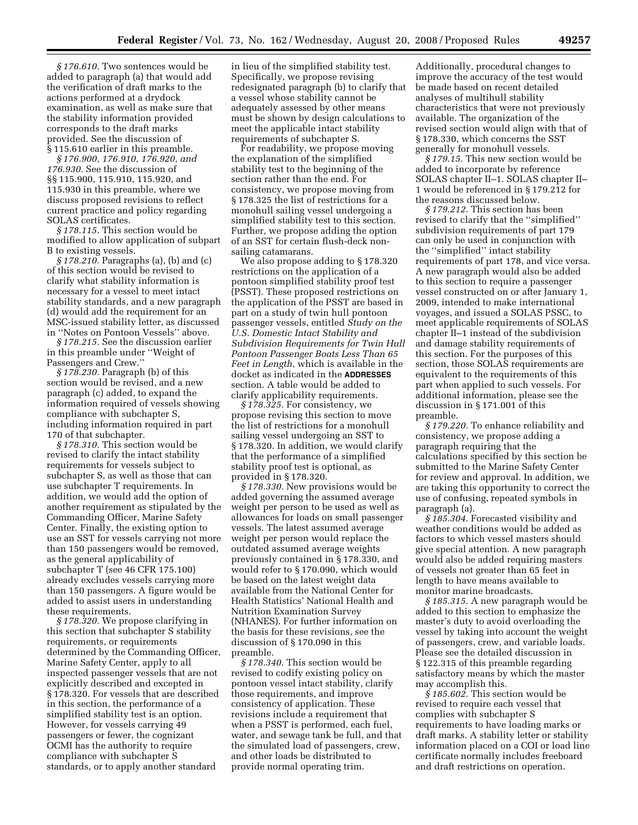*§ 176.610.* Two sentences would be added to paragraph (a) that would add the verification of draft marks to the actions performed at a drydock examination, as well as make sure that the stability information provided corresponds to the draft marks provided. See the discussion of § 115.610 earlier in this preamble.

*§ 176.900, 176.910, 176.920, and 176.930.* See the discussion of §§ 115.900, 115.910, 115.920, and 115.930 in this preamble, where we discuss proposed revisions to reflect current practice and policy regarding SOLAS certificates.

*§ 178.115.* This section would be modified to allow application of subpart B to existing vessels.

*§ 178.210.* Paragraphs (a), (b) and (c) of this section would be revised to clarify what stability information is necessary for a vessel to meet intact stability standards, and a new paragraph (d) would add the requirement for an MSC-issued stability letter, as discussed in ''Notes on Pontoon Vessels'' above.

*§ 178.215.* See the discussion earlier in this preamble under ''Weight of Passengers and Crew.''

*§ 178.230.* Paragraph (b) of this section would be revised, and a new paragraph (c) added, to expand the information required of vessels showing compliance with subchapter S, including information required in part 170 of that subchapter.

*§ 178.310.* This section would be revised to clarify the intact stability requirements for vessels subject to subchapter S, as well as those that can use subchapter T requirements. In addition, we would add the option of another requirement as stipulated by the Commanding Officer, Marine Safety Center. Finally, the existing option to use an SST for vessels carrying not more than 150 passengers would be removed, as the general applicability of subchapter T (see 46 CFR 175.100) already excludes vessels carrying more than 150 passengers. A figure would be added to assist users in understanding these requirements.

*§ 178.320.* We propose clarifying in this section that subchapter S stability requirements, or requirements determined by the Commanding Officer, Marine Safety Center, apply to all inspected passenger vessels that are not explicitly described and excepted in § 178.320. For vessels that are described in this section, the performance of a simplified stability test is an option. However, for vessels carrying 49 passengers or fewer, the cognizant OCMI has the authority to require compliance with subchapter S standards, or to apply another standard

in lieu of the simplified stability test. Specifically, we propose revising redesignated paragraph (b) to clarify that a vessel whose stability cannot be adequately assessed by other means must be shown by design calculations to meet the applicable intact stability requirements of subchapter S.

For readability, we propose moving the explanation of the simplified stability test to the beginning of the section rather than the end. For consistency, we propose moving from § 178.325 the list of restrictions for a monohull sailing vessel undergoing a simplified stability test to this section. Further, we propose adding the option of an SST for certain flush-deck nonsailing catamarans.

We also propose adding to § 178.320 restrictions on the application of a pontoon simplified stability proof test (PSST). These proposed restrictions on the application of the PSST are based in part on a study of twin hull pontoon passenger vessels, entitled *Study on the U.S. Domestic Intact Stability and Subdivision Requirements for Twin Hull Pontoon Passenger Boats Less Than 65 Feet in Length*, which is available in the docket as indicated in the **ADDRESSES** section. A table would be added to clarify applicability requirements.

*§ 178.325.* For consistency, we propose revising this section to move the list of restrictions for a monohull sailing vessel undergoing an SST to § 178.320. In addition, we would clarify that the performance of a simplified stability proof test is optional, as provided in § 178.320.

*§ 178.330.* New provisions would be added governing the assumed average weight per person to be used as well as allowances for loads on small passenger vessels. The latest assumed average weight per person would replace the outdated assumed average weights previously contained in § 178.330, and would refer to § 170.090, which would be based on the latest weight data available from the National Center for Health Statistics' National Health and Nutrition Examination Survey (NHANES). For further information on the basis for these revisions, see the discussion of § 170.090 in this preamble.

*§ 178.340.* This section would be revised to codify existing policy on pontoon vessel intact stability, clarify those requirements, and improve consistency of application. These revisions include a requirement that when a PSST is performed, each fuel, water, and sewage tank be full, and that the simulated load of passengers, crew, and other loads be distributed to provide normal operating trim.

Additionally, procedural changes to improve the accuracy of the test would be made based on recent detailed analyses of multihull stability characteristics that were not previously available. The organization of the revised section would align with that of § 178.330, which concerns the SST generally for monohull vessels.

*§ 179.15.* This new section would be added to incorporate by reference SOLAS chapter II–1. SOLAS chapter II– 1 would be referenced in § 179.212 for the reasons discussed below.

*§ 179.212.* This section has been revised to clarify that the ''simplified'' subdivision requirements of part 179 can only be used in conjunction with the ''simplified'' intact stability requirements of part 178, and vice versa. A new paragraph would also be added to this section to require a passenger vessel constructed on or after January 1, 2009, intended to make international voyages, and issued a SOLAS PSSC, to meet applicable requirements of SOLAS chapter II–1 instead of the subdivision and damage stability requirements of this section. For the purposes of this section, those SOLAS requirements are equivalent to the requirements of this part when applied to such vessels. For additional information, please see the discussion in § 171.001 of this preamble.

*§ 179.220.* To enhance reliability and consistency, we propose adding a paragraph requiring that the calculations specified by this section be submitted to the Marine Safety Center for review and approval. In addition, we are taking this opportunity to correct the use of confusing, repeated symbols in paragraph (a).

*§ 185.304.* Forecasted visibility and weather conditions would be added as factors to which vessel masters should give special attention. A new paragraph would also be added requiring masters of vessels not greater than 65 feet in length to have means available to monitor marine broadcasts.

*§ 185.315.* A new paragraph would be added to this section to emphasize the master's duty to avoid overloading the vessel by taking into account the weight of passengers, crew, and variable loads. Please see the detailed discussion in § 122.315 of this preamble regarding satisfactory means by which the master may accomplish this.

*§ 185.602.* This section would be revised to require each vessel that complies with subchapter S requirements to have loading marks or draft marks. A stability letter or stability information placed on a COI or load line certificate normally includes freeboard and draft restrictions on operation.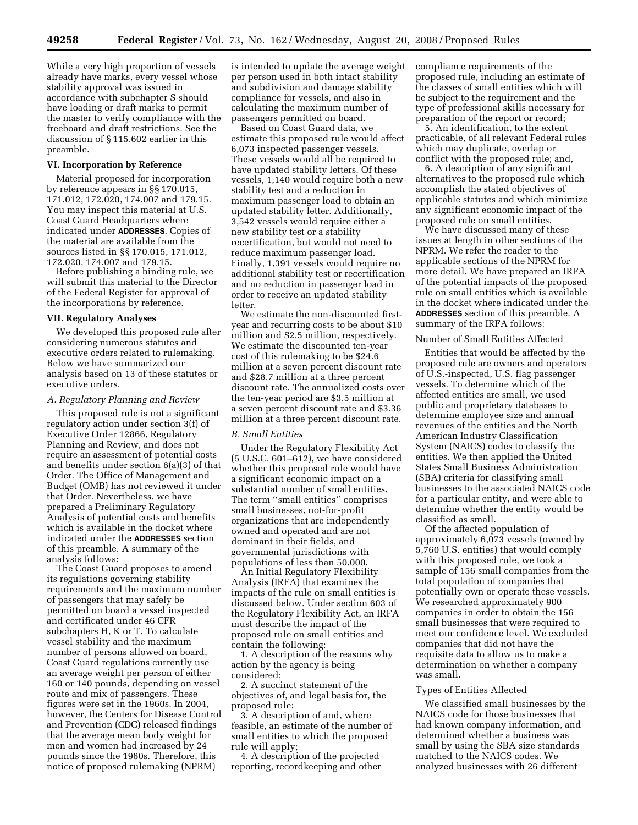While a very high proportion of vessels already have marks, every vessel whose stability approval was issued in accordance with subchapter S should have loading or draft marks to permit the master to verify compliance with the freeboard and draft restrictions. See the discussion of § 115.602 earlier in this preamble.

# **VI. Incorporation by Reference**

Material proposed for incorporation by reference appears in §§ 170.015, 171.012, 172.020, 174.007 and 179.15. You may inspect this material at U.S. Coast Guard Headquarters where indicated under **ADDRESSES**. Copies of the material are available from the sources listed in §§ 170.015, 171.012, 172.020, 174.007 and 179.15.

Before publishing a binding rule, we will submit this material to the Director of the Federal Register for approval of the incorporations by reference.

### **VII. Regulatory Analyses**

We developed this proposed rule after considering numerous statutes and executive orders related to rulemaking. Below we have summarized our analysis based on 13 of these statutes or executive orders.

# *A. Regulatory Planning and Review*

This proposed rule is not a significant regulatory action under section 3(f) of Executive Order 12866, Regulatory Planning and Review, and does not require an assessment of potential costs and benefits under section 6(a)(3) of that Order. The Office of Management and Budget (OMB) has not reviewed it under that Order. Nevertheless, we have prepared a Preliminary Regulatory Analysis of potential costs and benefits which is available in the docket where indicated under the **ADDRESSES** section of this preamble. A summary of the analysis follows:

The Coast Guard proposes to amend its regulations governing stability requirements and the maximum number of passengers that may safely be permitted on board a vessel inspected and certificated under 46 CFR subchapters H, K or T. To calculate vessel stability and the maximum number of persons allowed on board, Coast Guard regulations currently use an average weight per person of either 160 or 140 pounds, depending on vessel route and mix of passengers. These figures were set in the 1960s. In 2004, however, the Centers for Disease Control and Prevention (CDC) released findings that the average mean body weight for men and women had increased by 24 pounds since the 1960s. Therefore, this notice of proposed rulemaking (NPRM)

is intended to update the average weight per person used in both intact stability and subdivision and damage stability compliance for vessels, and also in calculating the maximum number of passengers permitted on board.

Based on Coast Guard data, we estimate this proposed rule would affect 6,073 inspected passenger vessels. These vessels would all be required to have updated stability letters. Of these vessels, 1,140 would require both a new stability test and a reduction in maximum passenger load to obtain an updated stability letter. Additionally, 3,542 vessels would require either a new stability test or a stability recertification, but would not need to reduce maximum passenger load. Finally, 1,391 vessels would require no additional stability test or recertification and no reduction in passenger load in order to receive an updated stability letter.

We estimate the non-discounted firstyear and recurring costs to be about \$10 million and \$2.5 million, respectively. We estimate the discounted ten-year cost of this rulemaking to be \$24.6 million at a seven percent discount rate and \$28.7 million at a three percent discount rate. The annualized costs over the ten-year period are \$3.5 million at a seven percent discount rate and \$3.36 million at a three percent discount rate.

# *B. Small Entities*

Under the Regulatory Flexibility Act (5 U.S.C. 601–612), we have considered whether this proposed rule would have a significant economic impact on a substantial number of small entities. The term ''small entities'' comprises small businesses, not-for-profit organizations that are independently owned and operated and are not dominant in their fields, and governmental jurisdictions with populations of less than 50,000.

An Initial Regulatory Flexibility Analysis (IRFA) that examines the impacts of the rule on small entities is discussed below. Under section 603 of the Regulatory Flexibility Act, an IRFA must describe the impact of the proposed rule on small entities and contain the following:

1. A description of the reasons why action by the agency is being considered;

2. A succinct statement of the objectives of, and legal basis for, the proposed rule;

3. A description of and, where feasible, an estimate of the number of small entities to which the proposed rule will apply;

4. A description of the projected reporting, recordkeeping and other compliance requirements of the proposed rule, including an estimate of the classes of small entities which will be subject to the requirement and the type of professional skills necessary for preparation of the report or record;

5. An identification, to the extent practicable, of all relevant Federal rules which may duplicate, overlap or conflict with the proposed rule; and,

6. A description of any significant alternatives to the proposed rule which accomplish the stated objectives of applicable statutes and which minimize any significant economic impact of the proposed rule on small entities.

We have discussed many of these issues at length in other sections of the NPRM. We refer the reader to the applicable sections of the NPRM for more detail. We have prepared an IRFA of the potential impacts of the proposed rule on small entities which is available in the docket where indicated under the **ADDRESSES** section of this preamble. A summary of the IRFA follows:

### Number of Small Entities Affected

Entities that would be affected by the proposed rule are owners and operators of U.S.-inspected, U.S. flag passenger vessels. To determine which of the affected entities are small, we used public and proprietary databases to determine employee size and annual revenues of the entities and the North American Industry Classification System (NAICS) codes to classify the entities. We then applied the United States Small Business Administration (SBA) criteria for classifying small businesses to the associated NAICS code for a particular entity, and were able to determine whether the entity would be classified as small.

Of the affected population of approximately 6,073 vessels (owned by 5,760 U.S. entities) that would comply with this proposed rule, we took a sample of 156 small companies from the total population of companies that potentially own or operate these vessels. We researched approximately 900 companies in order to obtain the 156 small businesses that were required to meet our confidence level. We excluded companies that did not have the requisite data to allow us to make a determination on whether a company was small.

# Types of Entities Affected

We classified small businesses by the NAICS code for those businesses that had known company information, and determined whether a business was small by using the SBA size standards matched to the NAICS codes. We analyzed businesses with 26 different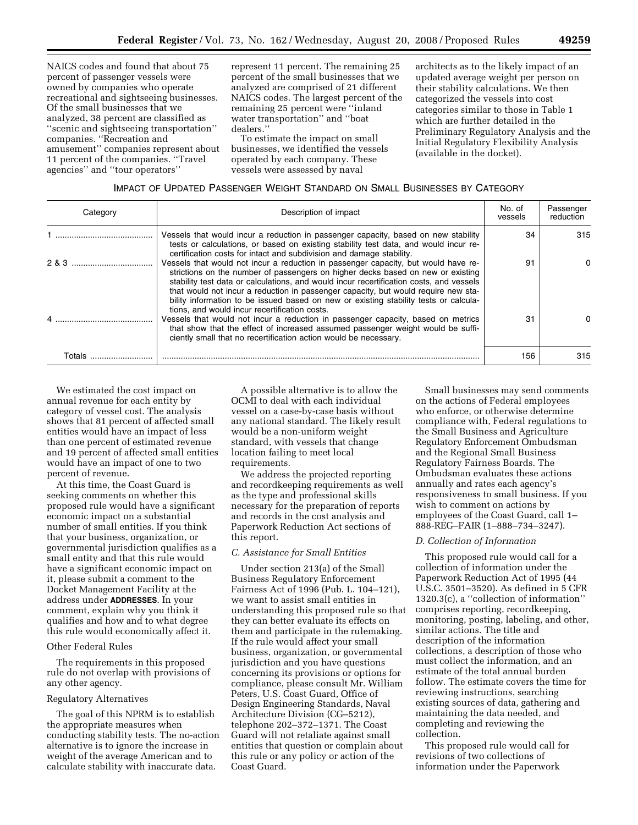NAICS codes and found that about 75 percent of passenger vessels were owned by companies who operate recreational and sightseeing businesses. Of the small businesses that we analyzed, 38 percent are classified as ''scenic and sightseeing transportation'' companies. ''Recreation and amusement'' companies represent about 11 percent of the companies. ''Travel agencies'' and ''tour operators''

represent 11 percent. The remaining 25 percent of the small businesses that we analyzed are comprised of 21 different NAICS codes. The largest percent of the remaining 25 percent were ''inland water transportation'' and ''boat dealers.''

To estimate the impact on small businesses, we identified the vessels operated by each company. These vessels were assessed by naval

architects as to the likely impact of an updated average weight per person on their stability calculations. We then categorized the vessels into cost categories similar to those in Table 1 which are further detailed in the Preliminary Regulatory Analysis and the Initial Regulatory Flexibility Analysis (available in the docket).

# IMPACT OF UPDATED PASSENGER WEIGHT STANDARD ON SMALL BUSINESSES BY CATEGORY

| Category | Description of impact                                                                                                                                                                                                                                                                                                                                                                                                                                                                           | No. of<br>vessels | Passenger<br>reduction |
|----------|-------------------------------------------------------------------------------------------------------------------------------------------------------------------------------------------------------------------------------------------------------------------------------------------------------------------------------------------------------------------------------------------------------------------------------------------------------------------------------------------------|-------------------|------------------------|
|          | Vessels that would incur a reduction in passenger capacity, based on new stability<br>tests or calculations, or based on existing stability test data, and would incur re-<br>certification costs for intact and subdivision and damage stability.                                                                                                                                                                                                                                              | 34                | 315                    |
| 283      | Vessels that would not incur a reduction in passenger capacity, but would have re-<br>strictions on the number of passengers on higher decks based on new or existing<br>stability test data or calculations, and would incur recertification costs, and vessels<br>that would not incur a reduction in passenger capacity, but would require new sta-<br>bility information to be issued based on new or existing stability tests or calcula-<br>tions, and would incur recertification costs. | 91                |                        |
|          | Vessels that would not incur a reduction in passenger capacity, based on metrics<br>that show that the effect of increased assumed passenger weight would be suffi-<br>ciently small that no recertification action would be necessary.                                                                                                                                                                                                                                                         | 31                |                        |
| Totals   |                                                                                                                                                                                                                                                                                                                                                                                                                                                                                                 | 156               | 315                    |

We estimated the cost impact on annual revenue for each entity by category of vessel cost. The analysis shows that 81 percent of affected small entities would have an impact of less than one percent of estimated revenue and 19 percent of affected small entities would have an impact of one to two percent of revenue.

At this time, the Coast Guard is seeking comments on whether this proposed rule would have a significant economic impact on a substantial number of small entities. If you think that your business, organization, or governmental jurisdiction qualifies as a small entity and that this rule would have a significant economic impact on it, please submit a comment to the Docket Management Facility at the address under **ADDRESSES**. In your comment, explain why you think it qualifies and how and to what degree this rule would economically affect it.

# Other Federal Rules

The requirements in this proposed rule do not overlap with provisions of any other agency.

# Regulatory Alternatives

The goal of this NPRM is to establish the appropriate measures when conducting stability tests. The no-action alternative is to ignore the increase in weight of the average American and to calculate stability with inaccurate data.

A possible alternative is to allow the OCMI to deal with each individual vessel on a case-by-case basis without any national standard. The likely result would be a non-uniform weight standard, with vessels that change location failing to meet local requirements.

We address the projected reporting and recordkeeping requirements as well as the type and professional skills necessary for the preparation of reports and records in the cost analysis and Paperwork Reduction Act sections of this report.

# *C. Assistance for Small Entities*

Under section 213(a) of the Small Business Regulatory Enforcement Fairness Act of 1996 (Pub. L. 104–121), we want to assist small entities in understanding this proposed rule so that they can better evaluate its effects on them and participate in the rulemaking. If the rule would affect your small business, organization, or governmental jurisdiction and you have questions concerning its provisions or options for compliance, please consult Mr. William Peters, U.S. Coast Guard, Office of Design Engineering Standards, Naval Architecture Division (CG–5212), telephone 202–372–1371. The Coast Guard will not retaliate against small entities that question or complain about this rule or any policy or action of the Coast Guard.

Small businesses may send comments on the actions of Federal employees who enforce, or otherwise determine compliance with, Federal regulations to the Small Business and Agriculture Regulatory Enforcement Ombudsman and the Regional Small Business Regulatory Fairness Boards. The Ombudsman evaluates these actions annually and rates each agency's responsiveness to small business. If you wish to comment on actions by employees of the Coast Guard, call 1– 888-REG–FAIR (1–888–734–3247).

# *D. Collection of Information*

This proposed rule would call for a collection of information under the Paperwork Reduction Act of 1995 (44 U.S.C. 3501–3520). As defined in 5 CFR 1320.3(c), a ''collection of information'' comprises reporting, recordkeeping, monitoring, posting, labeling, and other, similar actions. The title and description of the information collections, a description of those who must collect the information, and an estimate of the total annual burden follow. The estimate covers the time for reviewing instructions, searching existing sources of data, gathering and maintaining the data needed, and completing and reviewing the collection.

This proposed rule would call for revisions of two collections of information under the Paperwork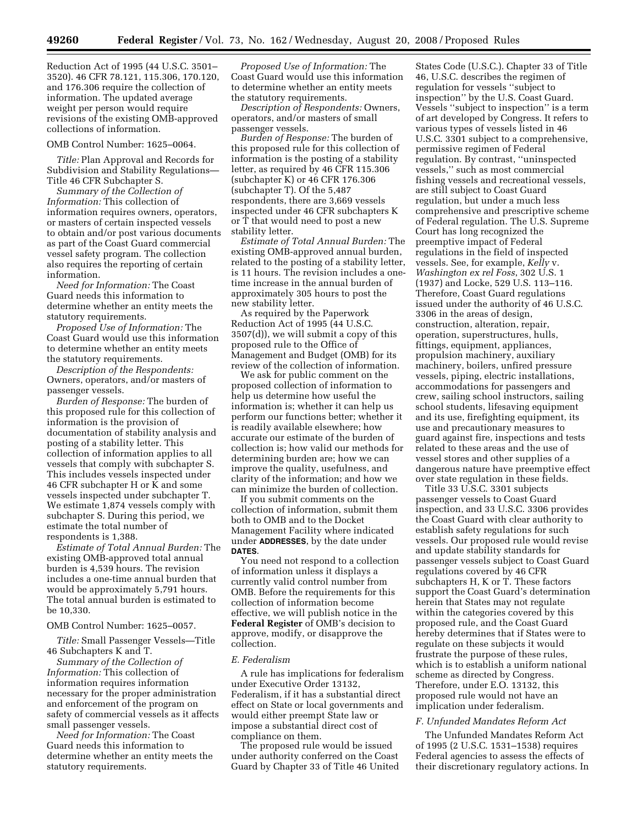Reduction Act of 1995 (44 U.S.C. 3501– 3520). 46 CFR 78.121, 115.306, 170.120, and 176.306 require the collection of information. The updated average weight per person would require revisions of the existing OMB-approved collections of information.

### OMB Control Number: 1625–0064.

*Title:* Plan Approval and Records for Subdivision and Stability Regulations— Title 46 CFR Subchapter S.

*Summary of the Collection of Information:* This collection of information requires owners, operators, or masters of certain inspected vessels to obtain and/or post various documents as part of the Coast Guard commercial vessel safety program. The collection also requires the reporting of certain information.

*Need for Information:* The Coast Guard needs this information to determine whether an entity meets the statutory requirements.

*Proposed Use of Information:* The Coast Guard would use this information to determine whether an entity meets the statutory requirements.

*Description of the Respondents:*  Owners, operators, and/or masters of passenger vessels.

*Burden of Response:* The burden of this proposed rule for this collection of information is the provision of documentation of stability analysis and posting of a stability letter. This collection of information applies to all vessels that comply with subchapter S. This includes vessels inspected under 46 CFR subchapter H or K and some vessels inspected under subchapter T. We estimate 1,874 vessels comply with subchapter S. During this period, we estimate the total number of respondents is 1,388.

*Estimate of Total Annual Burden:* The existing OMB-approved total annual burden is 4,539 hours. The revision includes a one-time annual burden that would be approximately 5,791 hours. The total annual burden is estimated to be 10,330.

### OMB Control Number: 1625–0057.

*Title:* Small Passenger Vessels—Title 46 Subchapters K and T.

*Summary of the Collection of Information:* This collection of information requires information necessary for the proper administration and enforcement of the program on safety of commercial vessels as it affects small passenger vessels.

*Need for Information:* The Coast Guard needs this information to determine whether an entity meets the statutory requirements.

*Proposed Use of Information:* The Coast Guard would use this information to determine whether an entity meets the statutory requirements.

*Description of Respondents:* Owners, operators, and/or masters of small passenger vessels.

*Burden of Response:* The burden of this proposed rule for this collection of information is the posting of a stability letter, as required by 46 CFR 115.306 (subchapter K) or 46 CFR 176.306 (subchapter T). Of the 5,487 respondents, there are 3,669 vessels inspected under 46 CFR subchapters K or T that would need to post a new stability letter.

*Estimate of Total Annual Burden:* The existing OMB-approved annual burden, related to the posting of a stability letter, is 11 hours. The revision includes a onetime increase in the annual burden of approximately 305 hours to post the new stability letter.

As required by the Paperwork Reduction Act of 1995 (44 U.S.C. 3507(d)), we will submit a copy of this proposed rule to the Office of Management and Budget (OMB) for its review of the collection of information.

We ask for public comment on the proposed collection of information to help us determine how useful the information is; whether it can help us perform our functions better; whether it is readily available elsewhere; how accurate our estimate of the burden of collection is; how valid our methods for determining burden are; how we can improve the quality, usefulness, and clarity of the information; and how we can minimize the burden of collection.

If you submit comments on the collection of information, submit them both to OMB and to the Docket Management Facility where indicated under **ADDRESSES**, by the date under **DATES**.

You need not respond to a collection of information unless it displays a currently valid control number from OMB. Before the requirements for this collection of information become effective, we will publish notice in the **Federal Register** of OMB's decision to approve, modify, or disapprove the collection.

#### *E. Federalism*

A rule has implications for federalism under Executive Order 13132, Federalism, if it has a substantial direct effect on State or local governments and would either preempt State law or impose a substantial direct cost of compliance on them.

The proposed rule would be issued under authority conferred on the Coast Guard by Chapter 33 of Title 46 United

States Code (U.S.C.). Chapter 33 of Title 46, U.S.C. describes the regimen of regulation for vessels ''subject to inspection'' by the U.S. Coast Guard. Vessels ''subject to inspection'' is a term of art developed by Congress. It refers to various types of vessels listed in 46 U.S.C. 3301 subject to a comprehensive, permissive regimen of Federal regulation. By contrast, ''uninspected vessels,'' such as most commercial fishing vessels and recreational vessels, are still subject to Coast Guard regulation, but under a much less comprehensive and prescriptive scheme of Federal regulation. The U.S. Supreme Court has long recognized the preemptive impact of Federal regulations in the field of inspected vessels. See, for example, *Kelly* v. *Washington ex rel Foss*, 302 U.S. 1 (1937) and Locke, 529 U.S. 113–116. Therefore, Coast Guard regulations issued under the authority of 46 U.S.C. 3306 in the areas of design, construction, alteration, repair, operation, superstructures, hulls, fittings, equipment, appliances, propulsion machinery, auxiliary machinery, boilers, unfired pressure vessels, piping, electric installations, accommodations for passengers and crew, sailing school instructors, sailing school students, lifesaving equipment and its use, firefighting equipment, its use and precautionary measures to guard against fire, inspections and tests related to these areas and the use of vessel stores and other supplies of a dangerous nature have preemptive effect over state regulation in these fields.

Title 33 U.S.C. 3301 subjects passenger vessels to Coast Guard inspection, and 33 U.S.C. 3306 provides the Coast Guard with clear authority to establish safety regulations for such vessels. Our proposed rule would revise and update stability standards for passenger vessels subject to Coast Guard regulations covered by 46 CFR subchapters H, K or T. These factors support the Coast Guard's determination herein that States may not regulate within the categories covered by this proposed rule, and the Coast Guard hereby determines that if States were to regulate on these subjects it would frustrate the purpose of these rules, which is to establish a uniform national scheme as directed by Congress. Therefore, under E.O. 13132, this proposed rule would not have an implication under federalism.

### *F. Unfunded Mandates Reform Act*

The Unfunded Mandates Reform Act of 1995 (2 U.S.C. 1531–1538) requires Federal agencies to assess the effects of their discretionary regulatory actions. In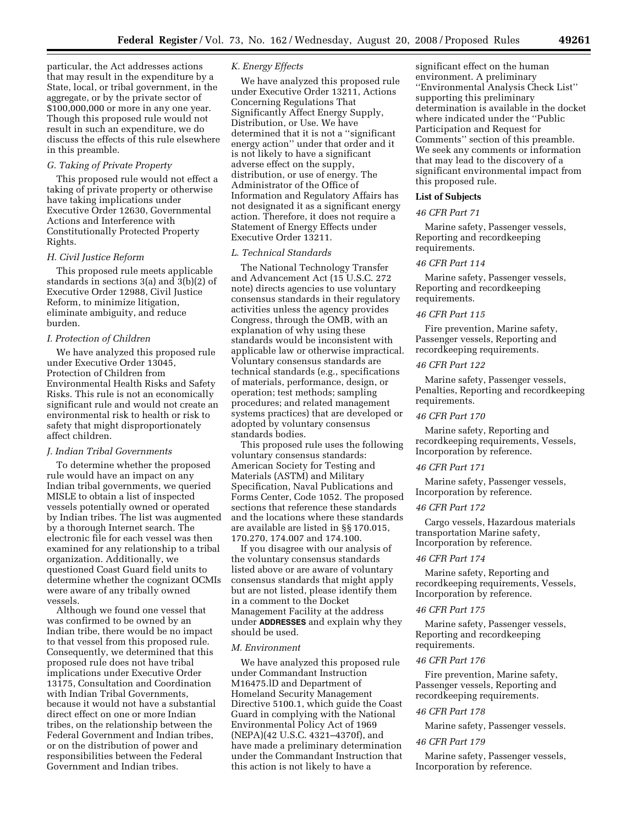particular, the Act addresses actions that may result in the expenditure by a State, local, or tribal government, in the aggregate, or by the private sector of \$100,000,000 or more in any one year. Though this proposed rule would not result in such an expenditure, we do discuss the effects of this rule elsewhere in this preamble.

# *G. Taking of Private Property*

This proposed rule would not effect a taking of private property or otherwise have taking implications under Executive Order 12630, Governmental Actions and Interference with Constitutionally Protected Property Rights.

### *H. Civil Justice Reform*

This proposed rule meets applicable standards in sections 3(a) and 3(b)(2) of Executive Order 12988, Civil Justice Reform, to minimize litigation, eliminate ambiguity, and reduce burden.

### *I. Protection of Children*

We have analyzed this proposed rule under Executive Order 13045, Protection of Children from Environmental Health Risks and Safety Risks. This rule is not an economically significant rule and would not create an environmental risk to health or risk to safety that might disproportionately affect children.

### *J. Indian Tribal Governments*

To determine whether the proposed rule would have an impact on any Indian tribal governments, we queried MISLE to obtain a list of inspected vessels potentially owned or operated by Indian tribes. The list was augmented by a thorough Internet search. The electronic file for each vessel was then examined for any relationship to a tribal organization. Additionally, we questioned Coast Guard field units to determine whether the cognizant OCMIs were aware of any tribally owned vessels.

Although we found one vessel that was confirmed to be owned by an Indian tribe, there would be no impact to that vessel from this proposed rule. Consequently, we determined that this proposed rule does not have tribal implications under Executive Order 13175, Consultation and Coordination with Indian Tribal Governments, because it would not have a substantial direct effect on one or more Indian tribes, on the relationship between the Federal Government and Indian tribes, or on the distribution of power and responsibilities between the Federal Government and Indian tribes.

### *K. Energy Effects*

We have analyzed this proposed rule under Executive Order 13211, Actions Concerning Regulations That Significantly Affect Energy Supply, Distribution, or Use. We have determined that it is not a ''significant energy action'' under that order and it is not likely to have a significant adverse effect on the supply, distribution, or use of energy. The Administrator of the Office of Information and Regulatory Affairs has not designated it as a significant energy action. Therefore, it does not require a Statement of Energy Effects under Executive Order 13211.

### *L. Technical Standards*

The National Technology Transfer and Advancement Act (15 U.S.C. 272 note) directs agencies to use voluntary consensus standards in their regulatory activities unless the agency provides Congress, through the OMB, with an explanation of why using these standards would be inconsistent with applicable law or otherwise impractical. Voluntary consensus standards are technical standards (e.g., specifications of materials, performance, design, or operation; test methods; sampling procedures; and related management systems practices) that are developed or adopted by voluntary consensus standards bodies.

This proposed rule uses the following voluntary consensus standards: American Society for Testing and Materials (ASTM) and Military Specification, Naval Publications and Forms Center, Code 1052. The proposed sections that reference these standards and the locations where these standards are available are listed in §§ 170.015, 170.270, 174.007 and 174.100.

If you disagree with our analysis of the voluntary consensus standards listed above or are aware of voluntary consensus standards that might apply but are not listed, please identify them in a comment to the Docket Management Facility at the address under **ADDRESSES** and explain why they should be used.

### *M. Environment*

We have analyzed this proposed rule under Commandant Instruction M16475.lD and Department of Homeland Security Management Directive 5100.1, which guide the Coast Guard in complying with the National Environmental Policy Act of 1969 (NEPA)(42 U.S.C. 4321–4370f), and have made a preliminary determination under the Commandant Instruction that this action is not likely to have a

significant effect on the human environment. A preliminary ''Environmental Analysis Check List'' supporting this preliminary determination is available in the docket where indicated under the ''Public Participation and Request for Comments'' section of this preamble. We seek any comments or information that may lead to the discovery of a significant environmental impact from this proposed rule.

#### **List of Subjects**

# *46 CFR Part 71*

Marine safety, Passenger vessels, Reporting and recordkeeping requirements.

# *46 CFR Part 114*

Marine safety, Passenger vessels, Reporting and recordkeeping requirements.

# *46 CFR Part 115*

Fire prevention, Marine safety, Passenger vessels, Reporting and recordkeeping requirements.

# *46 CFR Part 122*

Marine safety, Passenger vessels, Penalties, Reporting and recordkeeping requirements.

# *46 CFR Part 170*

Marine safety, Reporting and recordkeeping requirements, Vessels, Incorporation by reference.

### *46 CFR Part 171*

Marine safety, Passenger vessels, Incorporation by reference.

### *46 CFR Part 172*

Cargo vessels, Hazardous materials transportation Marine safety, Incorporation by reference.

## *46 CFR Part 174*

Marine safety, Reporting and recordkeeping requirements, Vessels, Incorporation by reference.

### *46 CFR Part 175*

Marine safety, Passenger vessels, Reporting and recordkeeping requirements.

### *46 CFR Part 176*

Fire prevention, Marine safety, Passenger vessels, Reporting and recordkeeping requirements.

### *46 CFR Part 178*

Marine safety, Passenger vessels.

#### *46 CFR Part 179*

Marine safety, Passenger vessels, Incorporation by reference.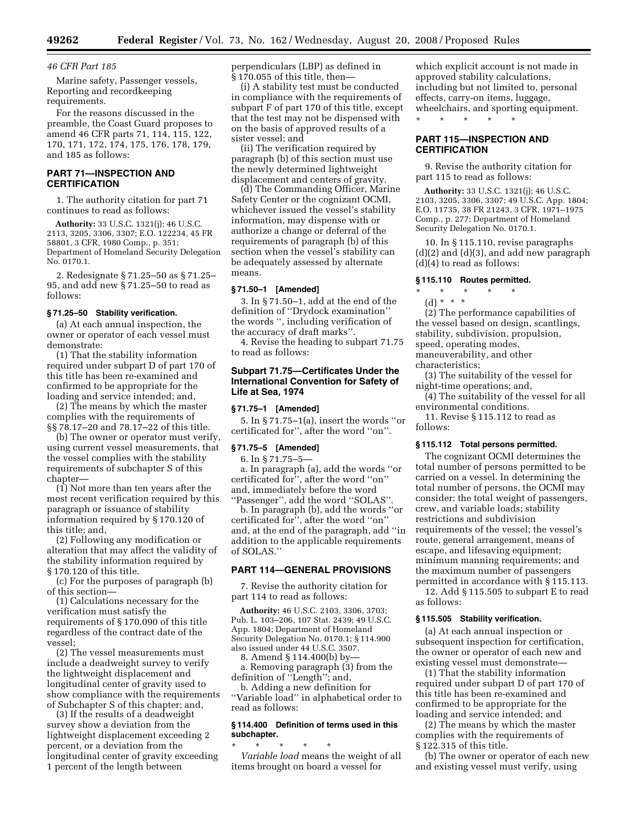### *46 CFR Part 185*

Marine safety, Passenger vessels, Reporting and recordkeeping requirements.

For the reasons discussed in the preamble, the Coast Guard proposes to amend 46 CFR parts 71, 114, 115, 122, 170, 171, 172, 174, 175, 176, 178, 179, and 185 as follows:

# **PART 71—INSPECTION AND CERTIFICATION**

1. The authority citation for part 71 continues to read as follows:

**Authority:** 33 U.S.C. 1321(j); 46 U.S.C. 2113, 3205, 3306, 3307; E.O. 122234, 45 FR 58801, 3 CFR, 1980 Comp., p. 351; Department of Homeland Security Delegation No. 0170.1.

2. Redesignate § 71.25–50 as § 71.25– 95, and add new § 71.25–50 to read as follows:

### **§ 71.25–50 Stability verification.**

(a) At each annual inspection, the owner or operator of each vessel must demonstrate:

(1) That the stability information required under subpart D of part 170 of this title has been re-examined and confirmed to be appropriate for the loading and service intended; and,

(2) The means by which the master complies with the requirements of §§ 78.17–20 and 78.17–22 of this title.

(b) The owner or operator must verify, using current vessel measurements, that the vessel complies with the stability requirements of subchapter S of this chapter—

(1) Not more than ten years after the most recent verification required by this paragraph or issuance of stability information required by § 170.120 of this title; and,

(2) Following any modification or alteration that may affect the validity of the stability information required by § 170.120 of this title.

(c) For the purposes of paragraph (b) of this section—

(1) Calculations necessary for the verification must satisfy the requirements of § 170.090 of this title regardless of the contract date of the vessel;

(2) The vessel measurements must include a deadweight survey to verify the lightweight displacement and longitudinal center of gravity used to show compliance with the requirements of Subchapter S of this chapter; and,

(3) If the results of a deadweight survey show a deviation from the lightweight displacement exceeding 2 percent, or a deviation from the longitudinal center of gravity exceeding 1 percent of the length between

perpendiculars (LBP) as defined in § 170.055 of this title, then—

(i) A stability test must be conducted in compliance with the requirements of subpart F of part 170 of this title, except that the test may not be dispensed with on the basis of approved results of a sister vessel; and

(ii) The verification required by paragraph (b) of this section must use the newly determined lightweight displacement and centers of gravity.

(d) The Commanding Officer, Marine Safety Center or the cognizant OCMI, whichever issued the vessel's stability information, may dispense with or authorize a change or deferral of the requirements of paragraph (b) of this section when the vessel's stability can be adequately assessed by alternate means.

### **§ 71.50–1 [Amended]**

3. In § 71.50–1, add at the end of the definition of ''Drydock examination'' the words '', including verification of the accuracy of draft marks''.

4. Revise the heading to subpart 71.75 to read as follows:

# **Subpart 71.75—Certificates Under the International Convention for Safety of Life at Sea, 1974**

### **§ 71.75–1 [Amended]**

5. In § 71.75–1(a), insert the words ''or certificated for'', after the word ''on''.

# **§ 71.75–5 [Amended]**

6. In § 71.75–5 a. In paragraph (a), add the words ''or certificated for'', after the word ''on'' and, immediately before the word ''Passenger'', add the word ''SOLAS''.

b. In paragraph (b), add the words ''or certificated for'', after the word ''on'' and, at the end of the paragraph, add ''in addition to the applicable requirements of SOLAS.''

# **PART 114—GENERAL PROVISIONS**

7. Revise the authority citation for part 114 to read as follows:

**Authority:** 46 U.S.C. 2103, 3306, 3703; Pub. L. 103–206, 107 Stat. 2439; 49 U.S.C. App. 1804; Department of Homeland Security Delegation No. 0170.1; § 114.900 also issued under 44 U.S.C. 3507.

8. Amend § 114.400(b) by—

a. Removing paragraph (3) from the definition of ''Length''; and,

b. Adding a new definition for ''Variable load'' in alphabetical order to read as follows:

# **§ 114.400 Definition of terms used in this subchapter.**

\* \* \* \* \* *Variable load* means the weight of all items brought on board a vessel for

which explicit account is not made in approved stability calculations, including but not limited to, personal effects, carry-on items, luggage, wheelchairs, and sporting equipment. \* \* \* \* \*

# **PART 115—INSPECTION AND CERTIFICATION**

9. Revise the authority citation for part 115 to read as follows:

**Authority:** 33 U.S.C. 1321(j); 46 U.S.C. 2103, 3205, 3306, 3307; 49 U.S.C. App. 1804; E.O. 11735, 38 FR 21243, 3 CFR, 1971–1975 Comp., p. 277; Department of Homeland Security Delegation No. 0170.1.

10. In § 115.110, revise paragraphs (d)(2) and (d)(3), and add new paragraph (d)(4) to read as follows:

### **§ 115.110 Routes permitted.**

# \* \* \* \* \* (d) \* \* \*

(2) The performance capabilities of the vessel based on design, scantlings, stability, subdivision, propulsion,

speed, operating modes,

maneuverability, and other characteristics;

(3) The suitability of the vessel for night-time operations; and,

(4) The suitability of the vessel for all environmental conditions.

11. Revise § 115.112 to read as follows:

# **§ 115.112 Total persons permitted.**

The cognizant OCMI determines the total number of persons permitted to be carried on a vessel. In determining the total number of persons, the OCMI may consider: the total weight of passengers, crew, and variable loads; stability restrictions and subdivision requirements of the vessel; the vessel's route, general arrangement, means of escape, and lifesaving equipment; minimum manning requirements; and the maximum number of passengers permitted in accordance with § 115.113.

12. Add § 115.505 to subpart E to read as follows:

# **§ 115.505 Stability verification.**

(a) At each annual inspection or subsequent inspection for certification, the owner or operator of each new and existing vessel must demonstrate—

(1) That the stability information required under subpart D of part 170 of this title has been re-examined and confirmed to be appropriate for the loading and service intended; and

(2) The means by which the master complies with the requirements of § 122.315 of this title.

(b) The owner or operator of each new and existing vessel must verify, using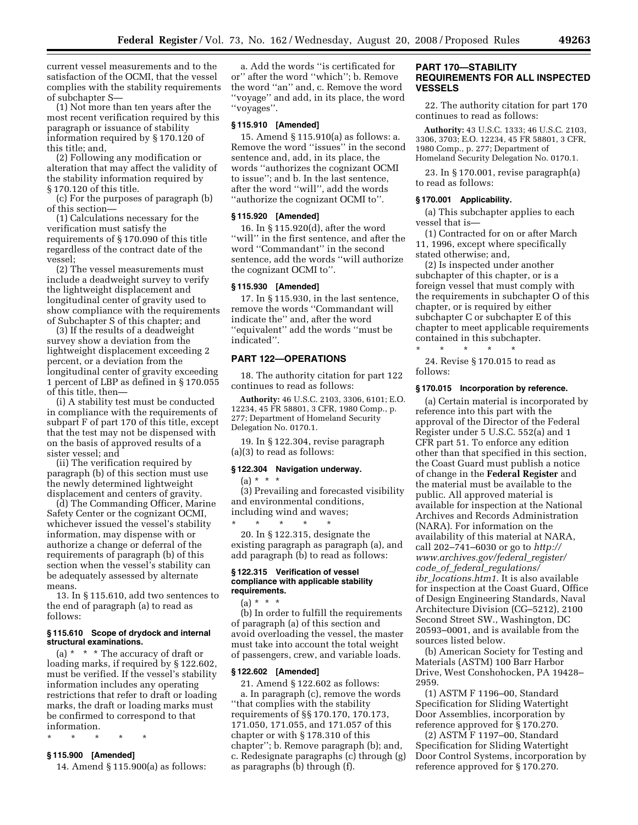current vessel measurements and to the satisfaction of the OCMI, that the vessel complies with the stability requirements of subchapter S—

(1) Not more than ten years after the most recent verification required by this paragraph or issuance of stability information required by § 170.120 of this title; and,

(2) Following any modification or alteration that may affect the validity of the stability information required by § 170.120 of this title.

(c) For the purposes of paragraph (b) of this section—

(1) Calculations necessary for the verification must satisfy the requirements of § 170.090 of this title regardless of the contract date of the vessel;

(2) The vessel measurements must include a deadweight survey to verify the lightweight displacement and longitudinal center of gravity used to show compliance with the requirements of Subchapter S of this chapter; and

(3) If the results of a deadweight survey show a deviation from the lightweight displacement exceeding 2 percent, or a deviation from the longitudinal center of gravity exceeding 1 percent of LBP as defined in § 170.055 of this title, then—

(i) A stability test must be conducted in compliance with the requirements of subpart F of part 170 of this title, except that the test may not be dispensed with on the basis of approved results of a sister vessel; and

(ii) The verification required by paragraph (b) of this section must use the newly determined lightweight displacement and centers of gravity.

(d) The Commanding Officer, Marine Safety Center or the cognizant OCMI, whichever issued the vessel's stability information, may dispense with or authorize a change or deferral of the requirements of paragraph (b) of this section when the vessel's stability can be adequately assessed by alternate means.

13. In § 115.610, add two sentences to the end of paragraph (a) to read as follows:

### **§ 115.610 Scope of drydock and internal structural examinations.**

(a) \* \* \* The accuracy of draft or loading marks, if required by § 122.602, must be verified. If the vessel's stability information includes any operating restrictions that refer to draft or loading marks, the draft or loading marks must be confirmed to correspond to that information.

\* \* \* \* \*

# **§ 115.900 [Amended]**

14. Amend § 115.900(a) as follows:

a. Add the words ''is certificated for or'' after the word ''which''; b. Remove the word ''an'' and, c. Remove the word ''voyage'' and add, in its place, the word ''voyages''.

### **§ 115.910 [Amended]**

15. Amend § 115.910(a) as follows: a. Remove the word ''issues'' in the second sentence and, add, in its place, the words ''authorizes the cognizant OCMI to issue''; and b. In the last sentence, after the word ''will'', add the words ''authorize the cognizant OCMI to''.

### **§ 115.920 [Amended]**

16. In § 115.920(d), after the word ''will'' in the first sentence, and after the word ''Commandant'' in the second sentence, add the words ''will authorize the cognizant OCMI to''.

### **§ 115.930 [Amended]**

17. In § 115.930, in the last sentence, remove the words ''Commandant will indicate the'' and, after the word ''equivalent'' add the words ''must be indicated''.

# **PART 122—OPERATIONS**

18. The authority citation for part 122 continues to read as follows:

**Authority:** 46 U.S.C. 2103, 3306, 6101; E.O. 12234, 45 FR 58801, 3 CFR, 1980 Comp., p. 277; Department of Homeland Security Delegation No. 0170.1.

19. In § 122.304, revise paragraph (a)(3) to read as follows:

#### **§ 122.304 Navigation underway.**

 $(a) * * * *$ 

(3) Prevailing and forecasted visibility and environmental conditions, including wind and waves;

\* \* \* \* \* 20. In § 122.315, designate the existing paragraph as paragraph (a), and add paragraph (b) to read as follows:

### **§ 122.315 Verification of vessel compliance with applicable stability requirements.**

 $(a) * * * *$ 

(b) In order to fulfill the requirements of paragraph (a) of this section and avoid overloading the vessel, the master must take into account the total weight of passengers, crew, and variable loads.

#### **§ 122.602 [Amended]**

21. Amend § 122.602 as follows: a. In paragraph (c), remove the words ''that complies with the stability requirements of §§ 170.170, 170.173, 171.050, 171.055, and 171.057 of this chapter or with § 178.310 of this chapter''; b. Remove paragraph (b); and, c. Redesignate paragraphs (c) through (g) as paragraphs (b) through (f).

# **PART 170—STABILITY REQUIREMENTS FOR ALL INSPECTED VESSELS**

22. The authority citation for part 170 continues to read as follows:

**Authority:** 43 U.S.C. 1333; 46 U.S.C. 2103, 3306, 3703; E.O. 12234, 45 FR 58801, 3 CFR, 1980 Comp., p. 277; Department of Homeland Security Delegation No. 0170.1.

23. In § 170.001, revise paragraph(a) to read as follows:

#### **§ 170.001 Applicability.**

(a) This subchapter applies to each vessel that is—

(1) Contracted for on or after March 11, 1996, except where specifically stated otherwise; and,

(2) Is inspected under another subchapter of this chapter, or is a foreign vessel that must comply with the requirements in subchapter O of this chapter, or is required by either subchapter C or subchapter E of this chapter to meet applicable requirements contained in this subchapter.

\* \* \* \* \* 24. Revise § 170.015 to read as follows:

### **§ 170.015 Incorporation by reference.**

(a) Certain material is incorporated by reference into this part with the approval of the Director of the Federal Register under 5 U.S.C. 552(a) and 1 CFR part 51. To enforce any edition other than that specified in this section, the Coast Guard must publish a notice of change in the **Federal Register** and the material must be available to the public. All approved material is available for inspection at the National Archives and Records Administration (NARA). For information on the availability of this material at NARA, call 202–741–6030 or go to *http:// www.archives.gov/federal*\_*register/ code*\_*of*\_*federal*\_*regulations/ ibr*\_*locations.htm1*. It is also available for inspection at the Coast Guard, Office of Design Engineering Standards, Naval Architecture Division (CG–5212), 2100 Second Street SW., Washington, DC 20593–0001, and is available from the sources listed below.

(b) American Society for Testing and Materials (ASTM) 100 Barr Harbor Drive, West Conshohocken, PA 19428– 2959.

(1) ASTM F 1196–00, Standard Specification for Sliding Watertight Door Assemblies, incorporation by reference approved for § 170.270.

(2) ASTM F 1197–00, Standard Specification for Sliding Watertight Door Control Systems, incorporation by reference approved for § 170.270.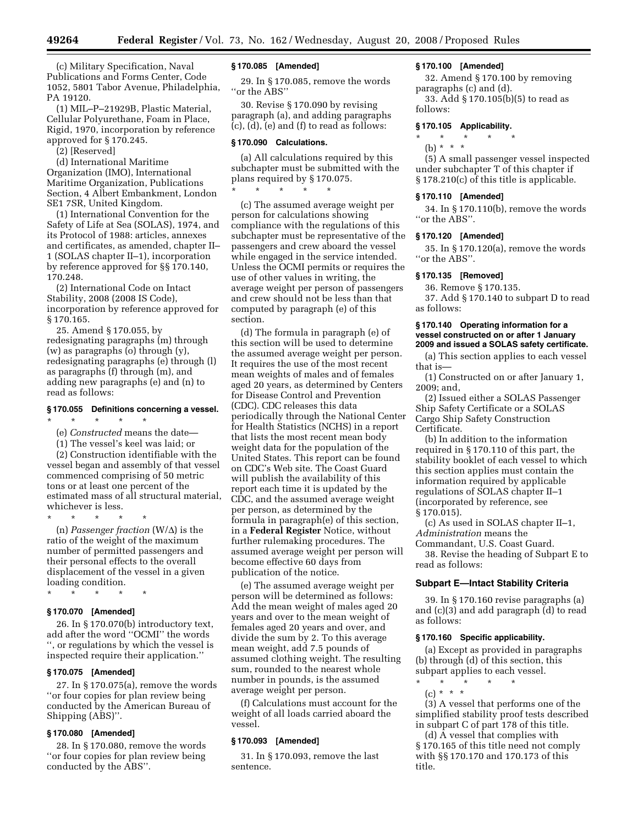(c) Military Specification, Naval Publications and Forms Center, Code 1052, 5801 Tabor Avenue, Philadelphia, PA 19120.

(1) MIL–P–21929B, Plastic Material, Cellular Polyurethane, Foam in Place, Rigid, 1970, incorporation by reference approved for § 170.245.

(2) [Reserved]

(d) International Maritime Organization (IMO), International Maritime Organization, Publications Section, 4 Albert Embankment, London SE1 7SR, United Kingdom.

(1) International Convention for the Safety of Life at Sea (SOLAS), 1974, and its Protocol of 1988: articles, annexes and certificates, as amended, chapter II– 1 (SOLAS chapter II–1), incorporation by reference approved for §§ 170.140, 170.248.

(2) International Code on Intact Stability, 2008 (2008 IS Code), incorporation by reference approved for § 170.165.

25. Amend § 170.055, by redesignating paragraphs (m) through (w) as paragraphs (o) through (y), redesignating paragraphs (e) through (l) as paragraphs (f) through (m), and adding new paragraphs (e) and (n) to read as follows:

### **§ 170.055 Definitions concerning a vessel.**

\* \* \* \* \*

(e) *Constructed* means the date—

(1) The vessel's keel was laid; or

(2) Construction identifiable with the vessel began and assembly of that vessel commenced comprising of 50 metric tons or at least one percent of the estimated mass of all structural material, whichever is less.

\* \* \* \* \* (n) *Passenger fraction*  $(W/\Delta)$  is the ratio of the weight of the maximum number of permitted passengers and their personal effects to the overall displacement of the vessel in a given loading condition.

\* \* \* \* \*

# **§ 170.070 [Amended]**

26. In § 170.070(b) introductory text, add after the word ''OCMI'' the words '', or regulations by which the vessel is inspected require their application.''

### **§ 170.075 [Amended]**

27. In § 170.075(a), remove the words ''or four copies for plan review being conducted by the American Bureau of Shipping (ABS)''.

# **§ 170.080 [Amended]**

28. In § 170.080, remove the words ''or four copies for plan review being conducted by the ABS''.

# **§ 170.085 [Amended]**

29. In § 170.085, remove the words ''or the ABS''

30. Revise § 170.090 by revising paragraph (a), and adding paragraphs (c), (d), (e) and (f) to read as follows:

# **§ 170.090 Calculations.**

(a) All calculations required by this subchapter must be submitted with the plans required by § 170.075. \* \* \* \* \*

(c) The assumed average weight per person for calculations showing compliance with the regulations of this subchapter must be representative of the passengers and crew aboard the vessel while engaged in the service intended. Unless the OCMI permits or requires the use of other values in writing, the average weight per person of passengers and crew should not be less than that computed by paragraph (e) of this section.

(d) The formula in paragraph (e) of this section will be used to determine the assumed average weight per person. It requires the use of the most recent mean weights of males and of females aged 20 years, as determined by Centers for Disease Control and Prevention (CDC). CDC releases this data periodically through the National Center for Health Statistics (NCHS) in a report that lists the most recent mean body weight data for the population of the United States. This report can be found on CDC's Web site. The Coast Guard will publish the availability of this report each time it is updated by the CDC, and the assumed average weight per person, as determined by the formula in paragraph(e) of this section, in a **Federal Register** Notice, without further rulemaking procedures. The assumed average weight per person will become effective 60 days from publication of the notice.

(e) The assumed average weight per person will be determined as follows: Add the mean weight of males aged 20 years and over to the mean weight of females aged 20 years and over, and divide the sum by 2. To this average mean weight, add 7.5 pounds of assumed clothing weight. The resulting sum, rounded to the nearest whole number in pounds, is the assumed average weight per person.

(f) Calculations must account for the weight of all loads carried aboard the vessel.

# **§ 170.093 [Amended]**

31. In § 170.093, remove the last sentence.

### **§ 170.100 [Amended]**

32. Amend § 170.100 by removing paragraphs (c) and (d).

33. Add § 170.105(b)(5) to read as follows:

# **§ 170.105 Applicability.**

\* \* \* \* \*

# (b) \* \* \*

(5) A small passenger vessel inspected under subchapter T of this chapter if § 178.210(c) of this title is applicable.

#### **§ 170.110 [Amended]**

34. In § 170.110(b), remove the words ''or the ABS''.

### **§ 170.120 [Amended]**

35. In § 170.120(a), remove the words ''or the ABS''.

# **§ 170.135 [Removed]**

36. Remove § 170.135. 37. Add § 170.140 to subpart D to read as follows:

### **§ 170.140 Operating information for a vessel constructed on or after 1 January 2009 and issued a SOLAS safety certificate.**

(a) This section applies to each vessel that is—

(1) Constructed on or after January 1, 2009; and,

(2) Issued either a SOLAS Passenger Ship Safety Certificate or a SOLAS Cargo Ship Safety Construction Certificate.

(b) In addition to the information required in § 170.110 of this part, the stability booklet of each vessel to which this section applies must contain the information required by applicable regulations of SOLAS chapter II–1 (incorporated by reference, see § 170.015).

(c) As used in SOLAS chapter II–1, *Administration* means the

Commandant, U.S. Coast Guard.

38. Revise the heading of Subpart E to read as follows:

# **Subpart E—Intact Stability Criteria**

39. In § 170.160 revise paragraphs (a) and (c)(3) and add paragraph (d) to read as follows:

### **§ 170.160 Specific applicability.**

(a) Except as provided in paragraphs (b) through (d) of this section, this subpart applies to each vessel.

\* \* \* \* \* (c) \* \* \*

(3) A vessel that performs one of the simplified stability proof tests described in subpart C of part 178 of this title.

(d) A vessel that complies with § 170.165 of this title need not comply with §§ 170.170 and 170.173 of this title.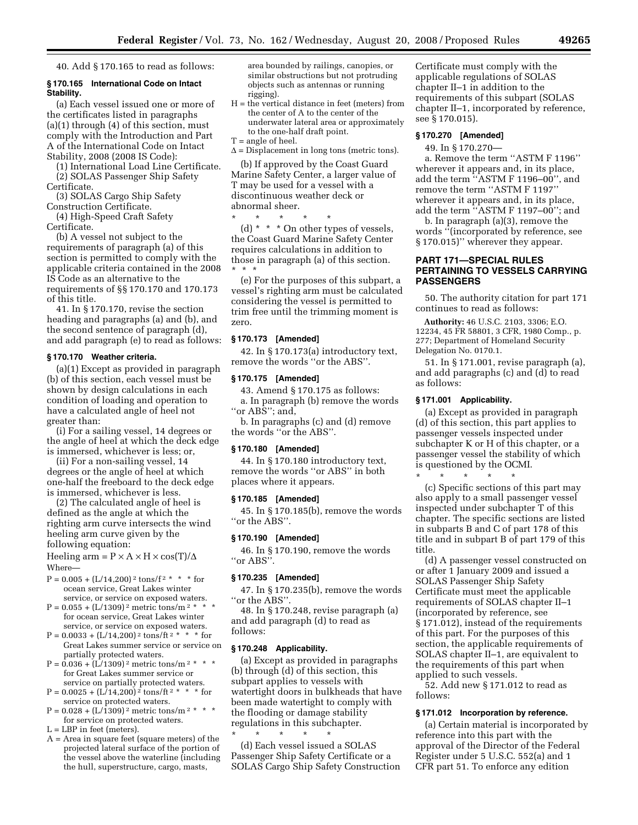40. Add § 170.165 to read as follows:

### **§ 170.165 International Code on Intact Stability.**

(a) Each vessel issued one or more of the certificates listed in paragraphs (a)(1) through (4) of this section, must comply with the Introduction and Part A of the International Code on Intact Stability, 2008 (2008 IS Code):

(1) International Load Line Certificate. (2) SOLAS Passenger Ship Safety Certificate.

(3) SOLAS Cargo Ship Safety

Construction Certificate. (4) High-Speed Craft Safety

Certificate.

(b) A vessel not subject to the requirements of paragraph (a) of this section is permitted to comply with the applicable criteria contained in the 2008 IS Code as an alternative to the requirements of §§ 170.170 and 170.173 of this title.

41. In § 170.170, revise the section heading and paragraphs (a) and (b), and the second sentence of paragraph (d), and add paragraph (e) to read as follows:

### **§ 170.170 Weather criteria.**

(a)(1) Except as provided in paragraph (b) of this section, each vessel must be shown by design calculations in each condition of loading and operation to have a calculated angle of heel not greater than:

(i) For a sailing vessel, 14 degrees or the angle of heel at which the deck edge is immersed, whichever is less; or,

(ii) For a non-sailing vessel, 14 degrees or the angle of heel at which one-half the freeboard to the deck edge is immersed, whichever is less.

(2) The calculated angle of heel is defined as the angle at which the righting arm curve intersects the wind heeling arm curve given by the following equation:

Heeling arm =  $P \times A \times H \times \cos(T)/\Delta$ Where—

- $P = 0.005 + (L/14,200)^2$  tons/f<sup>2 \*</sup> \* \* for ocean service, Great Lakes winter service, or service on exposed waters.
- $P = 0.055 + (L/1309)^2$  metric tons/m<sup>2 \*</sup> for ocean service, Great Lakes winter service, or service on exposed waters.
- $P = 0.0033 + (L/14,200)^2$  tons/ft<sup>2 \*</sup> \* \* for Great Lakes summer service or service on partially protected waters.
- $P = 0.036 + (L/1309)^2$  metric tons/m<sup>2 \*</sup> \* for Great Lakes summer service or service on partially protected waters.
- $P = 0.0025 + (L/14,200)^2$  tons/ft<sup>2 \*</sup> \* \* for service on protected waters.
- $P = 0.028 + (L/\overline{1}309)^2$  metric tons/m<sup>2 \*</sup> \* \* for service on protected waters.

 $L = LBP$  in feet (meters).

A = Area in square feet (square meters) of the projected lateral surface of the portion of the vessel above the waterline (including the hull, superstructure, cargo, masts,

area bounded by railings, canopies, or similar obstructions but not protruding objects such as antennas or running rigging).

- H = the vertical distance in feet (meters) from the center of A to the center of the underwater lateral area or approximately to the one-half draft point.
- T = angle of heel.
- $\Delta$  = Displacement in long tons (metric tons).

(b) If approved by the Coast Guard Marine Safety Center, a larger value of T may be used for a vessel with a discontinuous weather deck or abnormal sheer.

\* \* \* \* \* (d) \* \* \* On other types of vessels, the Coast Guard Marine Safety Center requires calculations in addition to those in paragraph (a) of this section. \* \* \*

(e) For the purposes of this subpart, a vessel's righting arm must be calculated considering the vessel is permitted to trim free until the trimming moment is zero.

# **§ 170.173 [Amended]**

42. In § 170.173(a) introductory text, remove the words ''or the ABS''.

### **§ 170.175 [Amended]**

43. Amend § 170.175 as follows: a. In paragraph (b) remove the words "or ABS"; and,

b. In paragraphs (c) and (d) remove the words ''or the ABS''.

# **§ 170.180 [Amended]**

44. In § 170.180 introductory text, remove the words ''or ABS'' in both places where it appears.

# **§ 170.185 [Amended]**

45. In § 170.185(b), remove the words ''or the ABS''.

# **§ 170.190 [Amended]**

46. In § 170.190, remove the words ''or ABS''.

# **§ 170.235 [Amended]**

47. In § 170.235(b), remove the words ''or the ABS''.

48. In § 170.248, revise paragraph (a) and add paragraph (d) to read as follows:

#### **§ 170.248 Applicability.**

(a) Except as provided in paragraphs (b) through (d) of this section, this subpart applies to vessels with watertight doors in bulkheads that have been made watertight to comply with the flooding or damage stability regulations in this subchapter.

\* \* \* \* \* (d) Each vessel issued a SOLAS Passenger Ship Safety Certificate or a SOLAS Cargo Ship Safety Construction Certificate must comply with the applicable regulations of SOLAS chapter II–1 in addition to the requirements of this subpart (SOLAS chapter II–1, incorporated by reference, see § 170.015).

# **§ 170.270 [Amended]**

49. In § 170.270—

a. Remove the term ''ASTM F 1196'' wherever it appears and, in its place, add the term ''ASTM F 1196–00'', and remove the term ''ASTM F 1197'' wherever it appears and, in its place, add the term ''ASTM F 1197–00''; and

b. In paragraph (a)(3), remove the words ''(incorporated by reference, see § 170.015)'' wherever they appear.

# **PART 171—SPECIAL RULES PERTAINING TO VESSELS CARRYING PASSENGERS**

50. The authority citation for part 171 continues to read as follows:

**Authority:** 46 U.S.C. 2103, 3306; E.O. 12234, 45 FR 58801, 3 CFR, 1980 Comp., p. 277; Department of Homeland Security Delegation No. 0170.1.

51. In § 171.001, revise paragraph (a), and add paragraphs (c) and (d) to read as follows:

#### **§ 171.001 Applicability.**

(a) Except as provided in paragraph (d) of this section, this part applies to passenger vessels inspected under subchapter K or H of this chapter, or a passenger vessel the stability of which is questioned by the OCMI.

\* \* \* \* \* (c) Specific sections of this part may also apply to a small passenger vessel inspected under subchapter T of this chapter. The specific sections are listed in subparts B and C of part 178 of this title and in subpart B of part 179 of this title.

(d) A passenger vessel constructed on or after 1 January 2009 and issued a SOLAS Passenger Ship Safety Certificate must meet the applicable requirements of SOLAS chapter II–1 (incorporated by reference, see § 171.012), instead of the requirements of this part. For the purposes of this section, the applicable requirements of SOLAS chapter II–1, are equivalent to the requirements of this part when applied to such vessels.

52. Add new § 171.012 to read as follows:

### **§ 171.012 Incorporation by reference.**

(a) Certain material is incorporated by reference into this part with the approval of the Director of the Federal Register under 5 U.S.C. 552(a) and 1 CFR part 51. To enforce any edition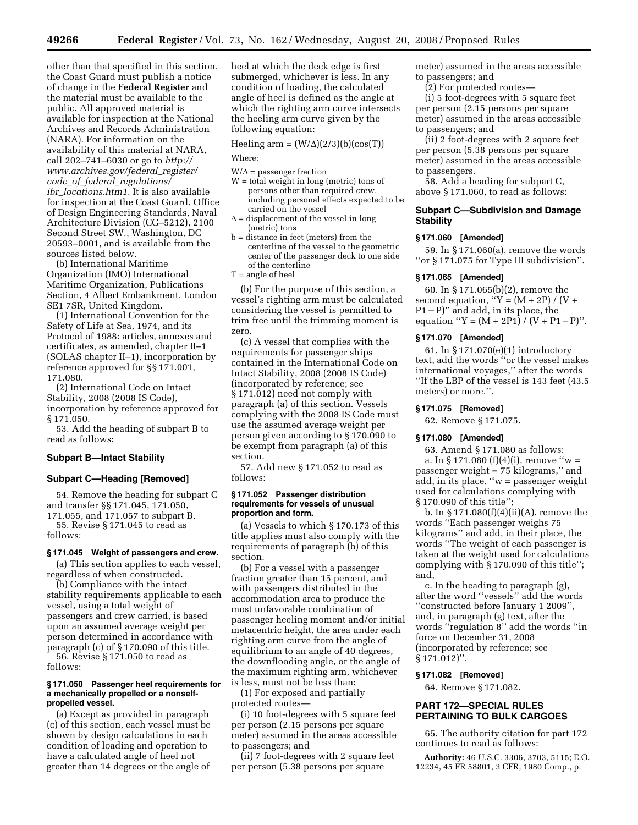other than that specified in this section, the Coast Guard must publish a notice of change in the **Federal Register** and the material must be available to the public. All approved material is available for inspection at the National Archives and Records Administration (NARA). For information on the availability of this material at NARA, call 202–741–6030 or go to *http:// www.archives.gov/federal*\_*register/ code*\_*of*\_*federal*\_*regulations/ ibr*\_*locations.htm1*. It is also available for inspection at the Coast Guard, Office of Design Engineering Standards, Naval Architecture Division (CG–5212), 2100 Second Street SW., Washington, DC 20593–0001, and is available from the sources listed below.

(b) International Maritime Organization (IMO) International Maritime Organization, Publications Section, 4 Albert Embankment, London SE1 7SR, United Kingdom.

(1) International Convention for the Safety of Life at Sea, 1974, and its Protocol of 1988: articles, annexes and certificates, as amended, chapter II–1 (SOLAS chapter II–1), incorporation by reference approved for §§ 171.001, 171.080.

(2) International Code on Intact Stability, 2008 (2008 IS Code), incorporation by reference approved for § 171.050.

53. Add the heading of subpart B to read as follows:

# **Subpart B—Intact Stability**

### **Subpart C—Heading [Removed]**

54. Remove the heading for subpart C and transfer §§ 171.045, 171.050, 171.055, and 171.057 to subpart B.

55. Revise § 171.045 to read as follows:

# **§ 171.045 Weight of passengers and crew.**

(a) This section applies to each vessel, regardless of when constructed.

(b) Compliance with the intact stability requirements applicable to each vessel, using a total weight of passengers and crew carried, is based upon an assumed average weight per person determined in accordance with paragraph (c) of § 170.090 of this title. 56. Revise § 171.050 to read as

follows:

### **§ 171.050 Passenger heel requirements for a mechanically propelled or a nonselfpropelled vessel.**

(a) Except as provided in paragraph (c) of this section, each vessel must be shown by design calculations in each condition of loading and operation to have a calculated angle of heel not greater than 14 degrees or the angle of

heel at which the deck edge is first submerged, whichever is less. In any condition of loading, the calculated angle of heel is defined as the angle at which the righting arm curve intersects the heeling arm curve given by the following equation:

Heeling arm =  $(W/\Delta)(2/3)(b)(cos(T))$ Where:

 $W/\Delta$  = passenger fraction

- W = total weight in long (metric) tons of persons other than required crew, including personal effects expected to be carried on the vessel
- $\Delta$  = displacement of the vessel in long (metric) tons
- b = distance in feet (meters) from the centerline of the vessel to the geometric center of the passenger deck to one side of the centerline
- T = angle of heel

(b) For the purpose of this section, a vessel's righting arm must be calculated considering the vessel is permitted to trim free until the trimming moment is zero.

(c) A vessel that complies with the requirements for passenger ships contained in the International Code on Intact Stability, 2008 (2008 IS Code) (incorporated by reference; see § 171.012) need not comply with paragraph (a) of this section. Vessels complying with the 2008 IS Code must use the assumed average weight per person given according to § 170.090 to be exempt from paragraph (a) of this section.

57. Add new § 171.052 to read as follows:

### **§ 171.052 Passenger distribution requirements for vessels of unusual proportion and form.**

(a) Vessels to which § 170.173 of this title applies must also comply with the requirements of paragraph (b) of this section.

(b) For a vessel with a passenger fraction greater than 15 percent, and with passengers distributed in the accommodation area to produce the most unfavorable combination of passenger heeling moment and/or initial metacentric height, the area under each righting arm curve from the angle of equilibrium to an angle of 40 degrees, the downflooding angle, or the angle of the maximum righting arm, whichever is less, must not be less than:

(1) For exposed and partially protected routes—

(i) 10 foot-degrees with 5 square feet per person (2.15 persons per square meter) assumed in the areas accessible to passengers; and

(ii) 7 foot-degrees with 2 square feet per person (5.38 persons per square

meter) assumed in the areas accessible to passengers; and

(2) For protected routes—

(i) 5 foot-degrees with 5 square feet per person (2.15 persons per square meter) assumed in the areas accessible to passengers; and

(ii) 2 foot-degrees with 2 square feet per person (5.38 persons per square meter) assumed in the areas accessible to passengers.

58. Add a heading for subpart C, above § 171.060, to read as follows:

# **Subpart C—Subdivision and Damage Stability**

### **§ 171.060 [Amended]**

59. In § 171.060(a), remove the words ''or § 171.075 for Type III subdivision''.

#### **§ 171.065 [Amended]**

60. In § 171.065(b)(2), remove the second equation, " $Y = (M + 2P) / (V +$  $P1-P$ )" and add, in its place, the equation "Y =  $(M + 2P1) / (V + P1 - P)$ ".

### **§ 171.070 [Amended]**

61. In § 171.070(e)(1) introductory text, add the words ''or the vessel makes international voyages,'' after the words ''If the LBP of the vessel is 143 feet (43.5 meters) or more,''.

### **§ 171.075 [Removed]**

62. Remove § 171.075.

# **§ 171.080 [Amended]**

63. Amend § 171.080 as follows: a. In  $\S 171.080$  (f)(4)(i), remove "w = passenger weight = 75 kilograms,'' and

add, in its place, ''w = passenger weight used for calculations complying with § 170.090 of this title'';

b. In  $\S 171.080(f)(4)(ii)(A)$ , remove the words ''Each passenger weighs 75 kilograms'' and add, in their place, the words ''The weight of each passenger is taken at the weight used for calculations complying with § 170.090 of this title''; and,

c. In the heading to paragraph (g), after the word ''vessels'' add the words ''constructed before January 1 2009'', and, in paragraph (g) text, after the words ''regulation 8'' add the words ''in force on December 31, 2008 (incorporated by reference; see § 171.012)''.

### **§ 171.082 [Removed]**

64. Remove § 171.082.

# **PART 172—SPECIAL RULES PERTAINING TO BULK CARGOES**

65. The authority citation for part 172 continues to read as follows:

**Authority:** 46 U.S.C. 3306, 3703, 5115; E.O. 12234, 45 FR 58801, 3 CFR, 1980 Comp., p.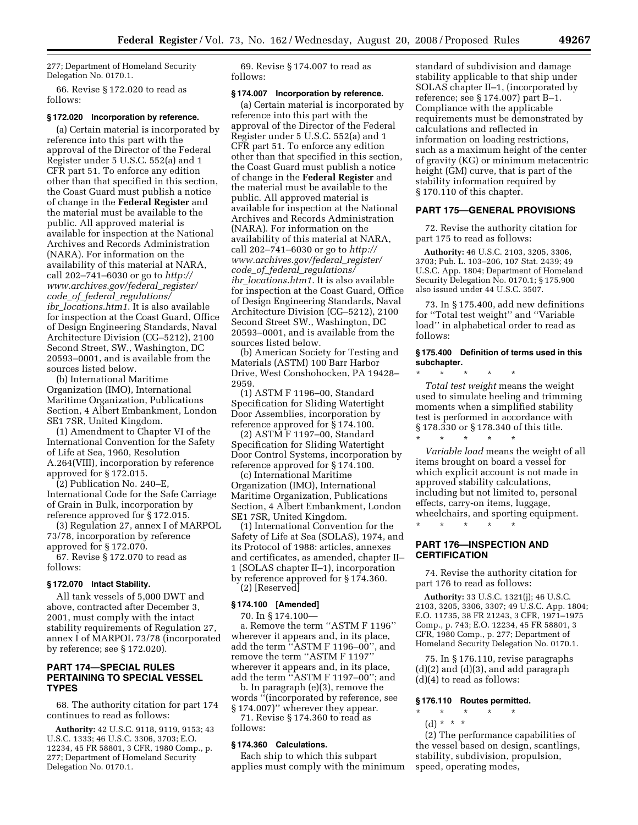277; Department of Homeland Security Delegation No. 0170.1.

66. Revise § 172.020 to read as follows:

#### **§ 172.020 Incorporation by reference.**

(a) Certain material is incorporated by reference into this part with the approval of the Director of the Federal Register under 5 U.S.C. 552(a) and 1 CFR part 51. To enforce any edition other than that specified in this section, the Coast Guard must publish a notice of change in the **Federal Register** and the material must be available to the public. All approved material is available for inspection at the National Archives and Records Administration (NARA). For information on the availability of this material at NARA, call 202–741–6030 or go to *http:// www.archives.gov/federal*\_*register/ code*\_*of*\_*federal*\_*regulations/ ibr*\_*locations.htm1*. It is also available for inspection at the Coast Guard, Office of Design Engineering Standards, Naval Architecture Division (CG–5212), 2100 Second Street, SW., Washington, DC 20593–0001, and is available from the sources listed below.

(b) International Maritime Organization (IMO), International Maritime Organization, Publications Section, 4 Albert Embankment, London SE1 7SR, United Kingdom.

(1) Amendment to Chapter VI of the International Convention for the Safety of Life at Sea, 1960, Resolution A.264(VIII), incorporation by reference approved for § 172.015.

(2) Publication No. 240–E, International Code for the Safe Carriage of Grain in Bulk, incorporation by reference approved for § 172.015.

(3) Regulation 27, annex I of MARPOL 73/78, incorporation by reference approved for § 172.070.

67. Revise § 172.070 to read as follows:

#### **§ 172.070 Intact Stability.**

All tank vessels of 5,000 DWT and above, contracted after December 3, 2001, must comply with the intact stability requirements of Regulation 27, annex I of MARPOL 73/78 (incorporated by reference; see § 172.020).

# **PART 174—SPECIAL RULES PERTAINING TO SPECIAL VESSEL TYPES**

68. The authority citation for part 174 continues to read as follows:

**Authority:** 42 U.S.C. 9118, 9119, 9153; 43 U.S.C. 1333; 46 U.S.C. 3306, 3703; E.O. 12234, 45 FR 58801, 3 CFR, 1980 Comp., p. 277; Department of Homeland Security Delegation No. 0170.1.

69. Revise § 174.007 to read as follows:

### **§ 174.007 Incorporation by reference.**

(a) Certain material is incorporated by reference into this part with the approval of the Director of the Federal Register under 5 U.S.C. 552(a) and 1 CFR part 51. To enforce any edition other than that specified in this section, the Coast Guard must publish a notice of change in the **Federal Register** and the material must be available to the public. All approved material is available for inspection at the National Archives and Records Administration (NARA). For information on the availability of this material at NARA, call 202–741–6030 or go to *http:// www.archives.gov/federal*\_*register/ code*\_*of*\_*federal*\_*regulations/ ibr*\_*locations.htm1*. It is also available for inspection at the Coast Guard, Office of Design Engineering Standards, Naval Architecture Division (CG–5212), 2100 Second Street SW., Washington, DC 20593–0001, and is available from the sources listed below.

(b) American Society for Testing and Materials (ASTM) 100 Barr Harbor Drive, West Conshohocken, PA 19428– 2959.

(1) ASTM F 1196–00, Standard Specification for Sliding Watertight Door Assemblies, incorporation by reference approved for § 174.100.

(2) ASTM F 1197–00, Standard Specification for Sliding Watertight Door Control Systems, incorporation by reference approved for § 174.100.

(c) International Maritime Organization (IMO), International Maritime Organization, Publications Section, 4 Albert Embankment, London SE1 7SR, United Kingdom.

(1) International Convention for the Safety of Life at Sea (SOLAS), 1974, and its Protocol of 1988: articles, annexes and certificates, as amended, chapter II– 1 (SOLAS chapter II–1), incorporation by reference approved for § 174.360. (2) [Reserved]

### **§ 174.100 [Amended]**

70. In § 174.100—

a. Remove the term ''ASTM F 1196'' wherever it appears and, in its place, add the term ''ASTM F 1196–00'', and remove the term ''ASTM F 1197'' wherever it appears and, in its place, add the term ''ASTM F 1197–00''; and

b. In paragraph (e)(3), remove the words ''(incorporated by reference, see § 174.007)'' wherever they appear.

71. Revise § 174.360 to read as follows:

### **§ 174.360 Calculations.**

Each ship to which this subpart applies must comply with the minimum standard of subdivision and damage stability applicable to that ship under SOLAS chapter II–1, (incorporated by reference; see § 174.007) part B–1. Compliance with the applicable requirements must be demonstrated by calculations and reflected in information on loading restrictions, such as a maximum height of the center of gravity (KG) or minimum metacentric height (GM) curve, that is part of the stability information required by § 170.110 of this chapter.

### **PART 175—GENERAL PROVISIONS**

72. Revise the authority citation for part 175 to read as follows:

**Authority:** 46 U.S.C. 2103, 3205, 3306, 3703; Pub. L. 103–206, 107 Stat. 2439; 49 U.S.C. App. 1804; Department of Homeland Security Delegation No. 0170.1; § 175.900 also issued under 44 U.S.C. 3507.

73. In § 175.400, add new definitions for ''Total test weight'' and ''Variable load'' in alphabetical order to read as follows:

# **§ 175.400 Definition of terms used in this subchapter.**

\* \* \* \* \* *Total test weight* means the weight used to simulate heeling and trimming moments when a simplified stability test is performed in accordance with § 178.330 or § 178.340 of this title. \* \* \* \* \*

*Variable load* means the weight of all items brought on board a vessel for which explicit account is not made in approved stability calculations, including but not limited to, personal effects, carry-on items, luggage, wheelchairs, and sporting equipment. \* \* \* \* \*

# **PART 176—INSPECTION AND CERTIFICATION**

74. Revise the authority citation for part 176 to read as follows:

**Authority:** 33 U.S.C. 1321(j); 46 U.S.C. 2103, 3205, 3306, 3307; 49 U.S.C. App. 1804; E.O. 11735, 38 FR 21243, 3 CFR, 1971–1975 Comp., p. 743; E.O. 12234, 45 FR 58801, 3 CFR, 1980 Comp., p. 277; Department of Homeland Security Delegation No. 0170.1.

75. In § 176.110, revise paragraphs  $(d)(2)$  and  $(d)(3)$ , and add paragraph (d)(4) to read as follows:

### **§ 176.110 Routes permitted.**

- \* \* \* \* \*
	- (d) \* \* \*

(2) The performance capabilities of the vessel based on design, scantlings, stability, subdivision, propulsion, speed, operating modes,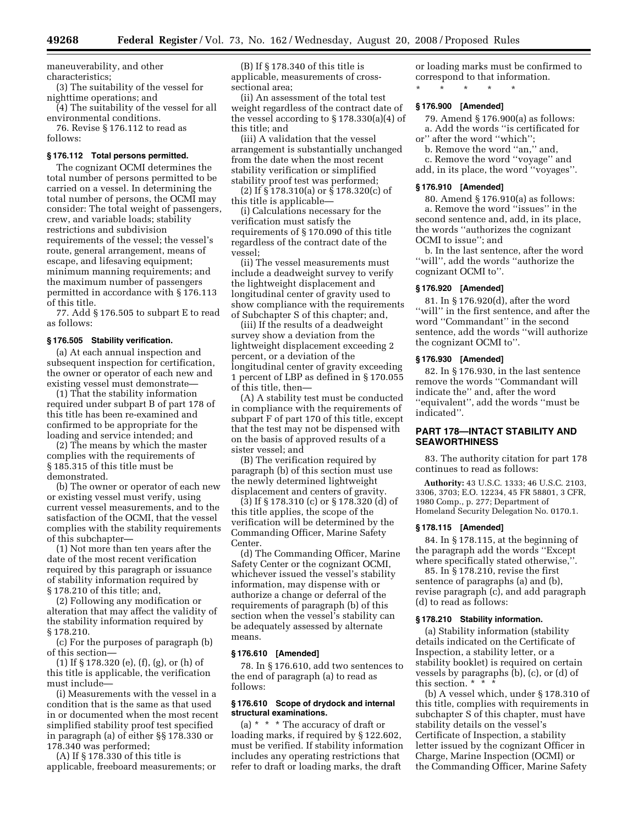maneuverability, and other characteristics;

(3) The suitability of the vessel for nighttime operations; and

(4) The suitability of the vessel for all environmental conditions.

76. Revise § 176.112 to read as follows:

# **§ 176.112 Total persons permitted.**

The cognizant OCMI determines the total number of persons permitted to be carried on a vessel. In determining the total number of persons, the OCMI may consider: The total weight of passengers, crew, and variable loads; stability restrictions and subdivision requirements of the vessel; the vessel's route, general arrangement, means of escape, and lifesaving equipment; minimum manning requirements; and the maximum number of passengers permitted in accordance with § 176.113 of this title.

77. Add § 176.505 to subpart E to read as follows:

#### **§ 176.505 Stability verification.**

(a) At each annual inspection and subsequent inspection for certification, the owner or operator of each new and existing vessel must demonstrate—

(1) That the stability information required under subpart B of part 178 of this title has been re-examined and confirmed to be appropriate for the loading and service intended; and

(2) The means by which the master complies with the requirements of § 185.315 of this title must be demonstrated.

(b) The owner or operator of each new or existing vessel must verify, using current vessel measurements, and to the satisfaction of the OCMI, that the vessel complies with the stability requirements of this subchapter—

(1) Not more than ten years after the date of the most recent verification required by this paragraph or issuance of stability information required by § 178.210 of this title; and,

(2) Following any modification or alteration that may affect the validity of the stability information required by § 178.210.

(c) For the purposes of paragraph (b) of this section—

(1) If § 178.320 (e), (f), (g), or (h) of this title is applicable, the verification must include—

(i) Measurements with the vessel in a condition that is the same as that used in or documented when the most recent simplified stability proof test specified in paragraph (a) of either §§ 178.330 or 178.340 was performed;

(A) If § 178.330 of this title is applicable, freeboard measurements; or

(B) If § 178.340 of this title is applicable, measurements of crosssectional area;

(ii) An assessment of the total test weight regardless of the contract date of the vessel according to § 178.330(a)(4) of this title; and

(iii) A validation that the vessel arrangement is substantially unchanged from the date when the most recent stability verification or simplified stability proof test was performed;

(2) If § 178.310(a) or § 178.320(c) of this title is applicable—

(i) Calculations necessary for the verification must satisfy the requirements of § 170.090 of this title regardless of the contract date of the vessel;

(ii) The vessel measurements must include a deadweight survey to verify the lightweight displacement and longitudinal center of gravity used to show compliance with the requirements of Subchapter S of this chapter; and,

(iii) If the results of a deadweight survey show a deviation from the lightweight displacement exceeding 2 percent, or a deviation of the longitudinal center of gravity exceeding 1 percent of LBP as defined in § 170.055 of this title, then—

(A) A stability test must be conducted in compliance with the requirements of subpart F of part 170 of this title, except that the test may not be dispensed with on the basis of approved results of a sister vessel; and

(B) The verification required by paragraph (b) of this section must use the newly determined lightweight displacement and centers of gravity.

(3) If § 178.310 (c) or § 178.320 (d) of this title applies, the scope of the verification will be determined by the Commanding Officer, Marine Safety Center.

(d) The Commanding Officer, Marine Safety Center or the cognizant OCMI, whichever issued the vessel's stability information, may dispense with or authorize a change or deferral of the requirements of paragraph (b) of this section when the vessel's stability can be adequately assessed by alternate means.

### **§ 176.610 [Amended]**

78. In § 176.610, add two sentences to the end of paragraph (a) to read as follows:

# **§ 176.610 Scope of drydock and internal structural examinations.**

(a) \* \* \* The accuracy of draft or loading marks, if required by § 122.602, must be verified. If stability information includes any operating restrictions that refer to draft or loading marks, the draft

or loading marks must be confirmed to correspond to that information.

\* \* \* \* \*

# **§ 176.900 [Amended]**

79. Amend § 176.900(a) as follows: a. Add the words ''is certificated for or'' after the word ''which'';

b. Remove the word ''an,'' and,

c. Remove the word ''voyage'' and

add, in its place, the word ''voyages''.

# **§ 176.910 [Amended]**

80. Amend § 176.910(a) as follows: a. Remove the word ''issues'' in the second sentence and, add, in its place, the words ''authorizes the cognizant OCMI to issue''; and

b. In the last sentence, after the word ''will'', add the words ''authorize the cognizant OCMI to''.

#### **§ 176.920 [Amended]**

81. In § 176.920(d), after the word "will" in the first sentence, and after the word ''Commandant'' in the second sentence, add the words ''will authorize the cognizant OCMI to''.

#### **§ 176.930 [Amended]**

82. In § 176.930, in the last sentence remove the words ''Commandant will indicate the'' and, after the word ''equivalent'', add the words ''must be indicated''.

# **PART 178—INTACT STABILITY AND SEAWORTHINESS**

83. The authority citation for part 178 continues to read as follows:

**Authority:** 43 U.S.C. 1333; 46 U.S.C. 2103, 3306, 3703; E.O. 12234, 45 FR 58801, 3 CFR, 1980 Comp., p. 277; Department of Homeland Security Delegation No. 0170.1.

### **§ 178.115 [Amended]**

84. In § 178.115, at the beginning of the paragraph add the words ''Except where specifically stated otherwise,''.

85. In § 178.210, revise the first sentence of paragraphs (a) and (b), revise paragraph (c), and add paragraph (d) to read as follows:

# **§ 178.210 Stability information.**

(a) Stability information (stability details indicated on the Certificate of Inspection, a stability letter, or a stability booklet) is required on certain vessels by paragraphs (b), (c), or (d) of this section. \* \* \*

(b) A vessel which, under § 178.310 of this title, complies with requirements in subchapter S of this chapter, must have stability details on the vessel's Certificate of Inspection, a stability letter issued by the cognizant Officer in Charge, Marine Inspection (OCMI) or the Commanding Officer, Marine Safety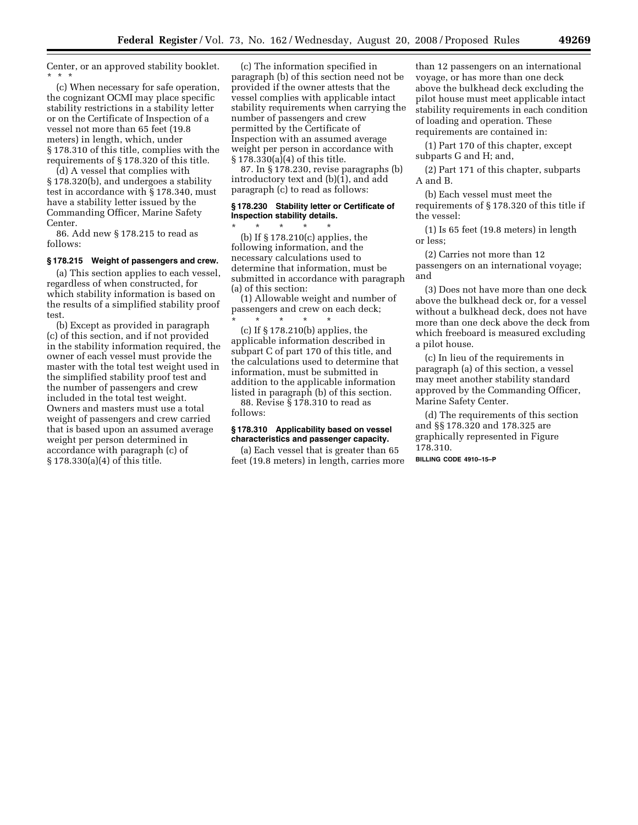Center, or an approved stability booklet. \* \* \*

(c) When necessary for safe operation, the cognizant OCMI may place specific stability restrictions in a stability letter or on the Certificate of Inspection of a vessel not more than 65 feet (19.8 meters) in length, which, under § 178.310 of this title, complies with the requirements of § 178.320 of this title.

(d) A vessel that complies with § 178.320(b), and undergoes a stability test in accordance with § 178.340, must have a stability letter issued by the Commanding Officer, Marine Safety Center.

86. Add new § 178.215 to read as follows:

# **§ 178.215 Weight of passengers and crew.**

(a) This section applies to each vessel, regardless of when constructed, for which stability information is based on the results of a simplified stability proof test.

(b) Except as provided in paragraph (c) of this section, and if not provided in the stability information required, the owner of each vessel must provide the master with the total test weight used in the simplified stability proof test and the number of passengers and crew included in the total test weight. Owners and masters must use a total weight of passengers and crew carried that is based upon an assumed average weight per person determined in accordance with paragraph (c) of § 178.330(a)(4) of this title.

(c) The information specified in paragraph (b) of this section need not be provided if the owner attests that the vessel complies with applicable intact stability requirements when carrying the number of passengers and crew permitted by the Certificate of Inspection with an assumed average weight per person in accordance with § 178.330(a)(4) of this title.

87. In § 178.230, revise paragraphs (b) introductory text and (b)(1), and add paragraph (c) to read as follows:

### **§ 178.230 Stability letter or Certificate of Inspection stability details.**  \* \* \* \* \*

(b) If § 178.210(c) applies, the following information, and the necessary calculations used to determine that information, must be submitted in accordance with paragraph (a) of this section:

(1) Allowable weight and number of passengers and crew on each deck; \* \* \* \* \*

(c) If § 178.210(b) applies, the applicable information described in subpart C of part 170 of this title, and the calculations used to determine that information, must be submitted in addition to the applicable information listed in paragraph (b) of this section.

88. Revise § 178.310 to read as follows:

# **§ 178.310 Applicability based on vessel characteristics and passenger capacity.**

(a) Each vessel that is greater than 65 feet (19.8 meters) in length, carries more

than 12 passengers on an international voyage, or has more than one deck above the bulkhead deck excluding the pilot house must meet applicable intact stability requirements in each condition of loading and operation. These requirements are contained in:

(1) Part 170 of this chapter, except subparts G and H; and,

(2) Part 171 of this chapter, subparts A and B.

(b) Each vessel must meet the requirements of § 178.320 of this title if the vessel:

(1) Is 65 feet (19.8 meters) in length or less;

(2) Carries not more than 12 passengers on an international voyage; and

(3) Does not have more than one deck above the bulkhead deck or, for a vessel without a bulkhead deck, does not have more than one deck above the deck from which freeboard is measured excluding a pilot house.

(c) In lieu of the requirements in paragraph (a) of this section, a vessel may meet another stability standard approved by the Commanding Officer, Marine Safety Center.

(d) The requirements of this section and §§ 178.320 and 178.325 are graphically represented in Figure 178.310.

**BILLING CODE 4910–15–P**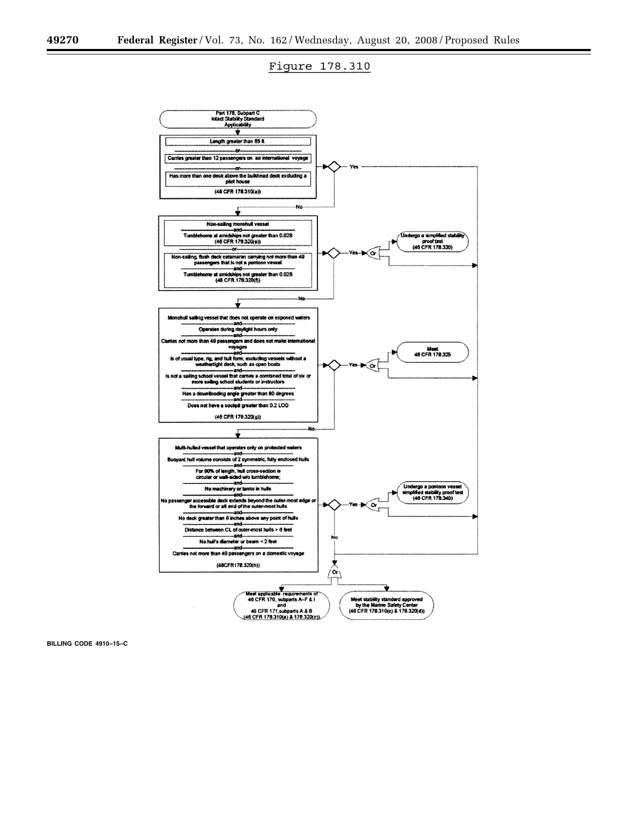# Figure 178.310



**BILLING CODE 4910–15–C**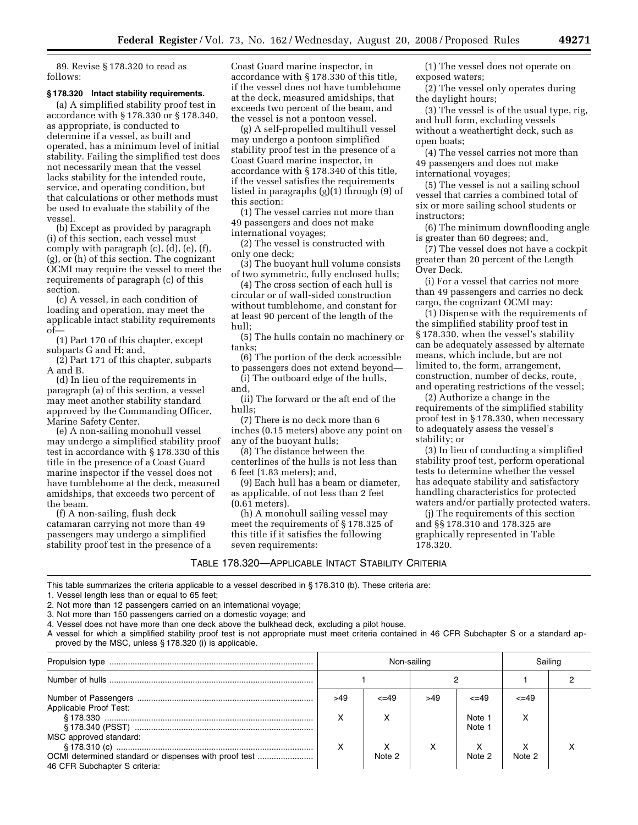89. Revise § 178.320 to read as follows:

### **§ 178.320 Intact stability requirements.**

(a) A simplified stability proof test in accordance with § 178.330 or § 178.340, as appropriate, is conducted to determine if a vessel, as built and operated, has a minimum level of initial stability. Failing the simplified test does not necessarily mean that the vessel lacks stability for the intended route, service, and operating condition, but that calculations or other methods must be used to evaluate the stability of the vessel.

(b) Except as provided by paragraph (i) of this section, each vessel must comply with paragraph (c), (d), (e), (f), (g), or (h) of this section. The cognizant OCMI may require the vessel to meet the requirements of paragraph (c) of this section.

(c) A vessel, in each condition of loading and operation, may meet the applicable intact stability requirements of—

(1) Part 170 of this chapter, except subparts G and H; and,

(2) Part 171 of this chapter, subparts A and B.

(d) In lieu of the requirements in paragraph (a) of this section, a vessel may meet another stability standard approved by the Commanding Officer, Marine Safety Center.

(e) A non-sailing monohull vessel may undergo a simplified stability proof test in accordance with § 178.330 of this title in the presence of a Coast Guard marine inspector if the vessel does not have tumblehome at the deck, measured amidships, that exceeds two percent of the beam.

(f) A non-sailing, flush deck catamaran carrying not more than 49 passengers may undergo a simplified stability proof test in the presence of a

Coast Guard marine inspector, in accordance with § 178.330 of this title, if the vessel does not have tumblehome at the deck, measured amidships, that exceeds two percent of the beam, and the vessel is not a pontoon vessel.

(g) A self-propelled multihull vessel may undergo a pontoon simplified stability proof test in the presence of a Coast Guard marine inspector, in accordance with § 178.340 of this title, if the vessel satisfies the requirements listed in paragraphs (g)(1) through (9) of this section:

(1) The vessel carries not more than 49 passengers and does not make international voyages;

(2) The vessel is constructed with only one deck;

(3) The buoyant hull volume consists of two symmetric, fully enclosed hulls;

(4) The cross section of each hull is circular or of wall-sided construction without tumblehome, and constant for at least 90 percent of the length of the hull;

(5) The hulls contain no machinery or tanks;

(6) The portion of the deck accessible to passengers does not extend beyond—

(i) The outboard edge of the hulls, and,

(ii) The forward or the aft end of the hulls;

(7) There is no deck more than 6 inches (0.15 meters) above any point on any of the buoyant hulls;

(8) The distance between the centerlines of the hulls is not less than 6 feet (1.83 meters); and,

(9) Each hull has a beam or diameter, as applicable, of not less than 2 feet (0.61 meters).

(h) A monohull sailing vessel may meet the requirements of § 178.325 of this title if it satisfies the following seven requirements:

(1) The vessel does not operate on exposed waters;

(2) The vessel only operates during the daylight hours;

(3) The vessel is of the usual type, rig, and hull form, excluding vessels without a weathertight deck, such as open boats;

(4) The vessel carries not more than 49 passengers and does not make international voyages;

(5) The vessel is not a sailing school vessel that carries a combined total of six or more sailing school students or instructors;

(6) The minimum downflooding angle is greater than 60 degrees; and,

(7) The vessel does not have a cockpit greater than 20 percent of the Length Over Deck.

(i) For a vessel that carries not more than 49 passengers and carries no deck cargo, the cognizant OCMI may:

(1) Dispense with the requirements of the simplified stability proof test in § 178.330, when the vessel's stability can be adequately assessed by alternate means, which include, but are not limited to, the form, arrangement, construction, number of decks, route, and operating restrictions of the vessel;

(2) Authorize a change in the requirements of the simplified stability proof test in § 178.330, when necessary to adequately assess the vessel's stability; or

(3) In lieu of conducting a simplified stability proof test, perform operational tests to determine whether the vessel has adequate stability and satisfactory handling characteristics for protected waters and/or partially protected waters.

(j) The requirements of this section and §§ 178.310 and 178.325 are graphically represented in Table 178.320.

### TABLE 178.320—APPLICABLE INTACT STABILITY CRITERIA

This table summarizes the criteria applicable to a vessel described in § 178.310 (b). These criteria are:

1. Vessel length less than or equal to 65 feet;

2. Not more than 12 passengers carried on an international voyage;

3. Not more than 150 passengers carried on a domestic voyage; and

4. Vessel does not have more than one deck above the bulkhead deck, excluding a pilot house.

A vessel for which a simplified stability proof test is not appropriate must meet criteria contained in 46 CFR Subchapter S or a standard approved by the MSC, unless § 178.320 (i) is applicable.

|                                                                                        |          | Non-sailing |     |                      |            | Sailinc |  |
|----------------------------------------------------------------------------------------|----------|-------------|-----|----------------------|------------|---------|--|
|                                                                                        |          |             |     |                      |            |         |  |
| Applicable Proof Test:                                                                 | >49<br>x | $\leq$ 49   | >49 | $\leq$ =49<br>Note 1 | $\leq$ -49 |         |  |
| MSC approved standard:                                                                 |          |             |     | Note 1               |            |         |  |
| OCMI determined standard or dispenses with proof test<br>46 CFR Subchapter S criteria: | x        | Note 2      | х   | Note 2               | Note 2     |         |  |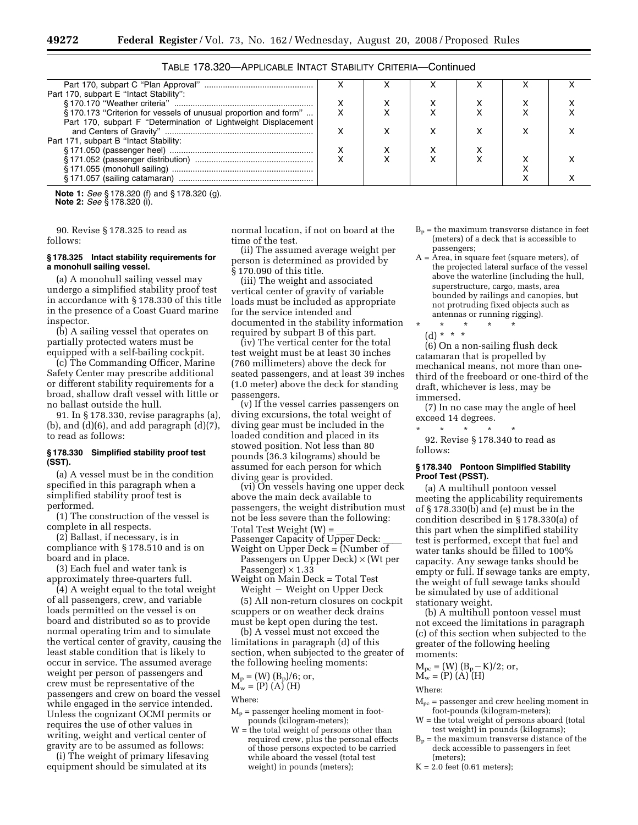| Part 170, subpart E "Intact Stability":                         |  |  |  |  |
|-----------------------------------------------------------------|--|--|--|--|
|                                                                 |  |  |  |  |
| §170.173 "Criterion for vessels of unusual proportion and form" |  |  |  |  |
| Part 170, subpart F "Determination of Lightweight Displacement  |  |  |  |  |
|                                                                 |  |  |  |  |
| Part 171, subpart B "Intact Stability:                          |  |  |  |  |
|                                                                 |  |  |  |  |
|                                                                 |  |  |  |  |
|                                                                 |  |  |  |  |
|                                                                 |  |  |  |  |
|                                                                 |  |  |  |  |

TABLE 178.320—APPLICABLE INTACT STABILITY CRITERIA—Continued

**Note 1:** *See* § 178.320 (f) and § 178.320 (g). **Note 2:** *See* § 178.320 (i).

90. Revise § 178.325 to read as follows:

# **§ 178.325 Intact stability requirements for a monohull sailing vessel.**

(a) A monohull sailing vessel may undergo a simplified stability proof test in accordance with § 178.330 of this title in the presence of a Coast Guard marine inspector.

(b) A sailing vessel that operates on partially protected waters must be equipped with a self-bailing cockpit.

(c) The Commanding Officer, Marine Safety Center may prescribe additional or different stability requirements for a broad, shallow draft vessel with little or no ballast outside the hull.

91. In § 178.330, revise paragraphs (a),  $(b)$ , and  $(d)(6)$ , and add paragraph  $(d)(7)$ , to read as follows:

# **§ 178.330 Simplified stability proof test (SST).**

(a) A vessel must be in the condition specified in this paragraph when a simplified stability proof test is performed.

(1) The construction of the vessel is complete in all respects.

(2) Ballast, if necessary, is in compliance with § 178.510 and is on board and in place.

(3) Each fuel and water tank is approximately three-quarters full.

(4) A weight equal to the total weight of all passengers, crew, and variable loads permitted on the vessel is on board and distributed so as to provide normal operating trim and to simulate the vertical center of gravity, causing the least stable condition that is likely to occur in service. The assumed average weight per person of passengers and crew must be representative of the passengers and crew on board the vessel while engaged in the service intended. Unless the cognizant OCMI permits or requires the use of other values in writing, weight and vertical center of gravity are to be assumed as follows:

(i) The weight of primary lifesaving equipment should be simulated at its

normal location, if not on board at the time of the test.

(ii) The assumed average weight per person is determined as provided by § 170.090 of this title.

(iii) The weight and associated vertical center of gravity of variable loads must be included as appropriate for the service intended and documented in the stability information required by subpart B of this part.

(iv) The vertical center for the total test weight must be at least 30 inches (760 millimeters) above the deck for seated passengers, and at least 39 inches (1.0 meter) above the deck for standing passengers.

(v) If the vessel carries passengers on diving excursions, the total weight of diving gear must be included in the loaded condition and placed in its stowed position. Not less than 80 pounds (36.3 kilograms) should be assumed for each person for which diving gear is provided.

(vi) On vessels having one upper deck above the main deck available to passengers, the weight distribution must not be less severe than the following:

Total Test Weight (W) =<br>Passenger Capacity of Upper l Passenger Capacity of Upper Deck: \_\_\_\_<br>Weight on Upper Deck = (Number of Weight on Upper Deck  $=$  (Number of

Passengers on Upper Deck) × (Wt per Passenger)  $\times$  1.33

Weight on Main Deck = Total Test  $Weight - Weight on Upper Deck$ 

(5) All non-return closures on cockpit scuppers or on weather deck drains must be kept open during the test.

(b) A vessel must not exceed the limitations in paragraph (d) of this section, when subjected to the greater of the following heeling moments:

 $M_p = (W) (B_p)/6;$  or,

 $M_w = (P) (A) (H)$ 

Where:

- $M_p$  = passenger heeling moment in footpounds (kilogram-meters);
- W = the total weight of persons other than required crew, plus the personal effects of those persons expected to be carried while aboard the vessel (total test weight) in pounds (meters);
- $B_p$  = the maximum transverse distance in feet (meters) of a deck that is accessible to passengers;
- A = Area, in square feet (square meters), of the projected lateral surface of the vessel above the waterline (including the hull, superstructure, cargo, masts, area bounded by railings and canopies, but not protruding fixed objects such as antennas or running rigging).
- \* \* \* \* \*

(d) \* \* \*

(6) On a non-sailing flush deck catamaran that is propelled by mechanical means, not more than onethird of the freeboard or one-third of the draft, whichever is less, may be immersed.

(7) In no case may the angle of heel exceed 14 degrees.

\* \* \* \* \* 92. Revise § 178.340 to read as

follows:

### **§ 178.340 Pontoon Simplified Stability Proof Test (PSST).**

(a) A multihull pontoon vessel meeting the applicability requirements of § 178.330(b) and (e) must be in the condition described in § 178.330(a) of this part when the simplified stability test is performed, except that fuel and water tanks should be filled to 100% capacity. Any sewage tanks should be empty or full. If sewage tanks are empty, the weight of full sewage tanks should be simulated by use of additional stationary weight.

(b) A multihull pontoon vessel must not exceed the limitations in paragraph (c) of this section when subjected to the greater of the following heeling moments:

$$
M_{pc} = (W) (B_p - K)/2
$$
; or,  
\n $M_w = (P) (A) (H)$ 

Where:

- $M_{pc}$  = passenger and crew heeling moment in foot-pounds (kilogram-meters);
- $W =$  the total weight of persons aboard (total test weight) in pounds (kilograms);
- $B_p$  = the maximum transverse distance of the deck accessible to passengers in feet (meters);
- $K = 2.0$  feet (0.61 meters);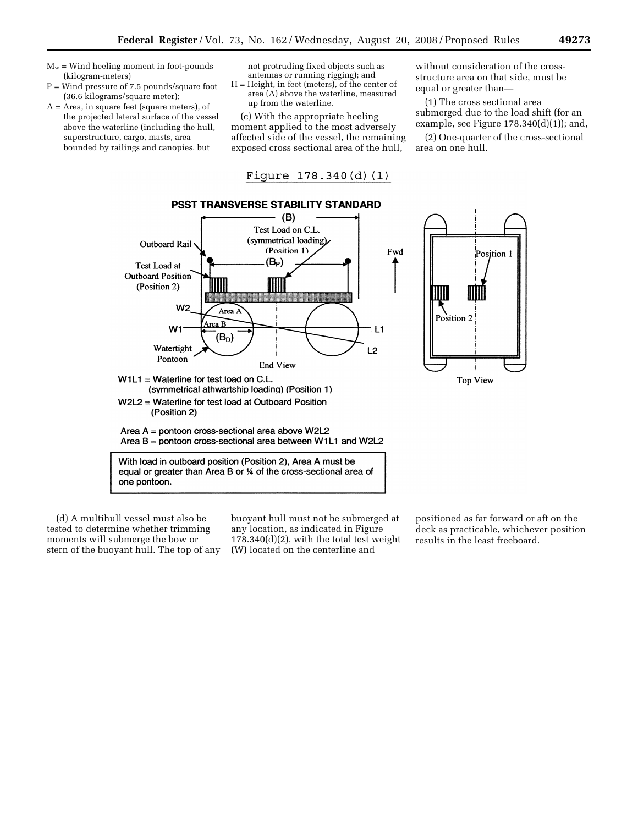- $M_w$  = Wind heeling moment in foot-pounds (kilogram-meters)
- P = Wind pressure of 7.5 pounds/square foot (36.6 kilograms/square meter);
- A = Area, in square feet (square meters), of the projected lateral surface of the vessel above the waterline (including the hull, superstructure, cargo, masts, area bounded by railings and canopies, but

not protruding fixed objects such as antennas or running rigging); and

H = Height, in feet (meters), of the center of area (A) above the waterline, measured up from the waterline.

(c) With the appropriate heeling moment applied to the most adversely affected side of the vessel, the remaining exposed cross sectional area of the hull,

Figure  $178.340(d)(1)$ 

without consideration of the crossstructure area on that side, must be equal or greater than—

(1) The cross sectional area submerged due to the load shift (for an example, see Figure  $178.340(d)(1)$ ; and,

(2) One-quarter of the cross-sectional area on one hull.

Position 1



(d) A multihull vessel must also be tested to determine whether trimming moments will submerge the bow or stern of the buoyant hull. The top of any buoyant hull must not be submerged at any location, as indicated in Figure 178.340(d)(2), with the total test weight (W) located on the centerline and

positioned as far forward or aft on the deck as practicable, whichever position results in the least freeboard.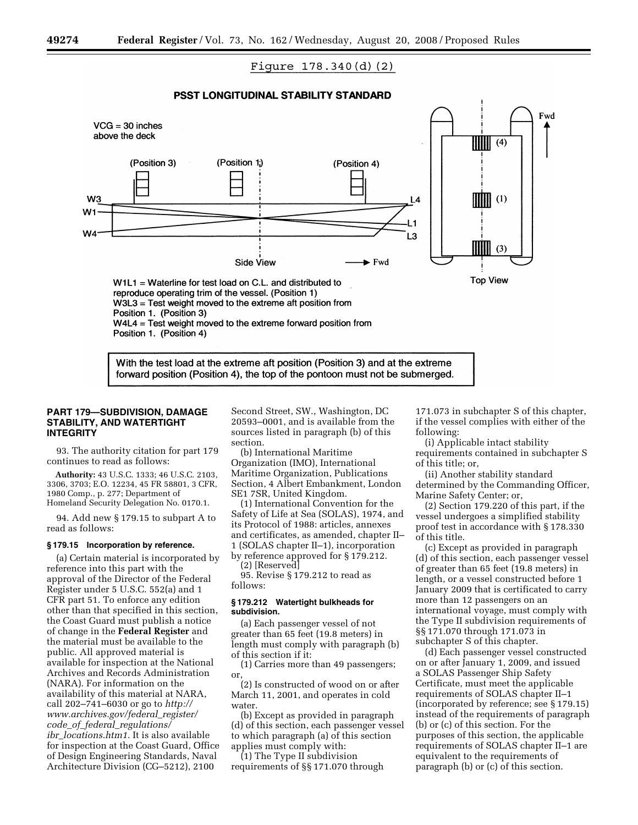# Figure  $178.340(d)(2)$

# PSST LONGITUDINAL STABILITY STANDARD



With the test load at the extreme aft position (Position 3) and at the extreme forward position (Position 4), the top of the pontoon must not be submerged.

# **PART 179—SUBDIVISION, DAMAGE STABILITY, AND WATERTIGHT INTEGRITY**

93. The authority citation for part 179 continues to read as follows:

**Authority:** 43 U.S.C. 1333; 46 U.S.C. 2103, 3306, 3703; E.O. 12234, 45 FR 58801, 3 CFR, 1980 Comp., p. 277; Department of Homeland Security Delegation No. 0170.1.

94. Add new § 179.15 to subpart A to read as follows:

### **§ 179.15 Incorporation by reference.**

(a) Certain material is incorporated by reference into this part with the approval of the Director of the Federal Register under 5 U.S.C. 552(a) and 1 CFR part 51. To enforce any edition other than that specified in this section, the Coast Guard must publish a notice of change in the **Federal Register** and the material must be available to the public. All approved material is available for inspection at the National Archives and Records Administration (NARA). For information on the availability of this material at NARA, call 202–741–6030 or go to *http:// www.archives.gov/federal*\_*register/ code*\_*of*\_*federal*\_*regulations/ ibr*\_*locations.htm1*. It is also available for inspection at the Coast Guard, Office of Design Engineering Standards, Naval Architecture Division (CG–5212), 2100

Second Street, SW., Washington, DC 20593–0001, and is available from the sources listed in paragraph (b) of this section.

(b) International Maritime Organization (IMO), International Maritime Organization, Publications Section, 4 Albert Embankment, London SE1 7SR, United Kingdom.

(1) International Convention for the Safety of Life at Sea (SOLAS), 1974, and its Protocol of 1988: articles, annexes and certificates, as amended, chapter II– 1 (SOLAS chapter II–1), incorporation by reference approved for § 179.212.

(2) [Reserved]

95. Revise § 179.212 to read as follows:

# **§ 179.212 Watertight bulkheads for subdivision.**

(a) Each passenger vessel of not greater than 65 feet (19.8 meters) in length must comply with paragraph (b) of this section if it:

(1) Carries more than 49 passengers; or,

(2) Is constructed of wood on or after March 11, 2001, and operates in cold water.

(b) Except as provided in paragraph (d) of this section, each passenger vessel to which paragraph (a) of this section applies must comply with:

(1) The Type II subdivision requirements of §§ 171.070 through

171.073 in subchapter S of this chapter, if the vessel complies with either of the following:

(i) Applicable intact stability requirements contained in subchapter S of this title; or,

(ii) Another stability standard determined by the Commanding Officer, Marine Safety Center; or,

(2) Section 179.220 of this part, if the vessel undergoes a simplified stability proof test in accordance with § 178.330 of this title.

(c) Except as provided in paragraph (d) of this section, each passenger vessel of greater than 65 feet (19.8 meters) in length, or a vessel constructed before 1 January 2009 that is certificated to carry more than 12 passengers on an international voyage, must comply with the Type II subdivision requirements of §§ 171.070 through 171.073 in subchapter S of this chapter.

(d) Each passenger vessel constructed on or after January 1, 2009, and issued a SOLAS Passenger Ship Safety Certificate, must meet the applicable requirements of SOLAS chapter II–1 (incorporated by reference; see § 179.15) instead of the requirements of paragraph (b) or (c) of this section. For the purposes of this section, the applicable requirements of SOLAS chapter II–1 are equivalent to the requirements of paragraph (b) or (c) of this section.